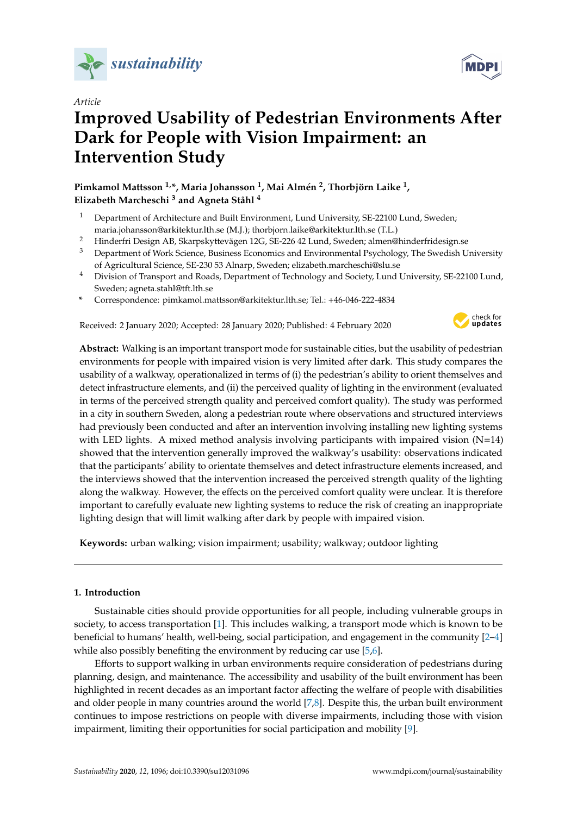

*Article*

# **Improved Usability of Pedestrian Environments After Dark for People with Vision Impairment: an Intervention Study**

**Pimkamol Mattsson 1,\*, Maria Johansson <sup>1</sup> , Mai Almén 2 , Thorbjörn Laike <sup>1</sup> , Elizabeth Marcheschi <sup>3</sup> and Agneta Ståhl <sup>4</sup>**

- <sup>1</sup> Department of Architecture and Built Environment, Lund University, SE-22100 Lund, Sweden; maria.johansson@arkitektur.lth.se (M.J.); thorbjorn.laike@arkitektur.lth.se (T.L.)
- <sup>2</sup> Hinderfri Design AB, Skarpskyttevägen 12G, SE-226 42 Lund, Sweden; almen@hinderfridesign.se<br><sup>3</sup> Department of Work Science, Business Economics and Environmental Baychology. The Swedish U
- <sup>3</sup> Department of Work Science, Business Economics and Environmental Psychology, The Swedish University of Agricultural Science, SE-230 53 Alnarp, Sweden; elizabeth.marcheschi@slu.se
- <sup>4</sup> Division of Transport and Roads, Department of Technology and Society, Lund University, SE-22100 Lund, Sweden; agneta.stahl@tft.lth.se
- **\*** Correspondence: pimkamol.mattsson@arkitektur.lth.se; Tel.: +46-046-222-4834

Received: 2 January 2020; Accepted: 28 January 2020; Published: 4 February 2020



**Abstract:** Walking is an important transport mode for sustainable cities, but the usability of pedestrian environments for people with impaired vision is very limited after dark. This study compares the usability of a walkway, operationalized in terms of (i) the pedestrian's ability to orient themselves and detect infrastructure elements, and (ii) the perceived quality of lighting in the environment (evaluated in terms of the perceived strength quality and perceived comfort quality). The study was performed in a city in southern Sweden, along a pedestrian route where observations and structured interviews had previously been conducted and after an intervention involving installing new lighting systems with LED lights. A mixed method analysis involving participants with impaired vision  $(N=14)$ showed that the intervention generally improved the walkway's usability: observations indicated that the participants' ability to orientate themselves and detect infrastructure elements increased, and the interviews showed that the intervention increased the perceived strength quality of the lighting along the walkway. However, the effects on the perceived comfort quality were unclear. It is therefore important to carefully evaluate new lighting systems to reduce the risk of creating an inappropriate lighting design that will limit walking after dark by people with impaired vision.

**Keywords:** urban walking; vision impairment; usability; walkway; outdoor lighting

## **1. Introduction**

Sustainable cities should provide opportunities for all people, including vulnerable groups in society, to access transportation [\[1\]](#page-17-0). This includes walking, a transport mode which is known to be beneficial to humans' health, well-being, social participation, and engagement in the community [\[2](#page-17-1)[–4\]](#page-17-2) while also possibly benefiting the environment by reducing car use [\[5](#page-17-3)[,6\]](#page-17-4).

Efforts to support walking in urban environments require consideration of pedestrians during planning, design, and maintenance. The accessibility and usability of the built environment has been highlighted in recent decades as an important factor affecting the welfare of people with disabilities and older people in many countries around the world  $[7,8]$  $[7,8]$ . Despite this, the urban built environment continues to impose restrictions on people with diverse impairments, including those with vision impairment, limiting their opportunities for social participation and mobility [\[9\]](#page-17-7).

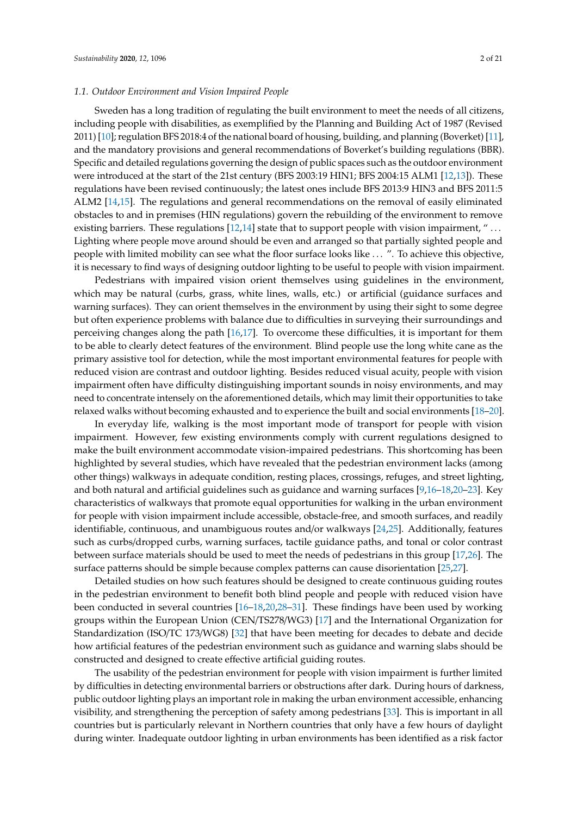#### *1.1. Outdoor Environment and Vision Impaired People*

Sweden has a long tradition of regulating the built environment to meet the needs of all citizens, including people with disabilities, as exemplified by the Planning and Building Act of 1987 (Revised 2011) [\[10\]](#page-17-8); regulation BFS 2018:4 of the national board of housing, building, and planning (Boverket) [\[11\]](#page-17-9), and the mandatory provisions and general recommendations of Boverket's building regulations (BBR). Specific and detailed regulations governing the design of public spaces such as the outdoor environment were introduced at the start of the 21st century (BFS 2003:19 HIN1; BFS 2004:15 ALM1 [\[12,](#page-17-10)[13\]](#page-17-11)). These regulations have been revised continuously; the latest ones include BFS 2013:9 HIN3 and BFS 2011:5 ALM2 [\[14](#page-17-12)[,15\]](#page-17-13). The regulations and general recommendations on the removal of easily eliminated obstacles to and in premises (HIN regulations) govern the rebuilding of the environment to remove existing barriers. These regulations  $[12,14]$  $[12,14]$  state that to support people with vision impairment, " ... Lighting where people move around should be even and arranged so that partially sighted people and people with limited mobility can see what the floor surface looks like . . . ". To achieve this objective, it is necessary to find ways of designing outdoor lighting to be useful to people with vision impairment.

Pedestrians with impaired vision orient themselves using guidelines in the environment, which may be natural (curbs, grass, white lines, walls, etc.) or artificial (guidance surfaces and warning surfaces). They can orient themselves in the environment by using their sight to some degree but often experience problems with balance due to difficulties in surveying their surroundings and perceiving changes along the path [\[16,](#page-17-14)[17\]](#page-18-0). To overcome these difficulties, it is important for them to be able to clearly detect features of the environment. Blind people use the long white cane as the primary assistive tool for detection, while the most important environmental features for people with reduced vision are contrast and outdoor lighting. Besides reduced visual acuity, people with vision impairment often have difficulty distinguishing important sounds in noisy environments, and may need to concentrate intensely on the aforementioned details, which may limit their opportunities to take relaxed walks without becoming exhausted and to experience the built and social environments [\[18–](#page-18-1)[20\]](#page-18-2).

In everyday life, walking is the most important mode of transport for people with vision impairment. However, few existing environments comply with current regulations designed to make the built environment accommodate vision-impaired pedestrians. This shortcoming has been highlighted by several studies, which have revealed that the pedestrian environment lacks (among other things) walkways in adequate condition, resting places, crossings, refuges, and street lighting, and both natural and artificial guidelines such as guidance and warning surfaces [\[9](#page-17-7)[,16](#page-17-14)[–18](#page-18-1)[,20–](#page-18-2)[23\]](#page-18-3). Key characteristics of walkways that promote equal opportunities for walking in the urban environment for people with vision impairment include accessible, obstacle-free, and smooth surfaces, and readily identifiable, continuous, and unambiguous routes and/or walkways [\[24](#page-18-4)[,25\]](#page-18-5). Additionally, features such as curbs/dropped curbs, warning surfaces, tactile guidance paths, and tonal or color contrast between surface materials should be used to meet the needs of pedestrians in this group [\[17](#page-18-0)[,26\]](#page-18-6). The surface patterns should be simple because complex patterns can cause disorientation [\[25](#page-18-5)[,27\]](#page-18-7).

Detailed studies on how such features should be designed to create continuous guiding routes in the pedestrian environment to benefit both blind people and people with reduced vision have been conducted in several countries [\[16](#page-17-14)[–18](#page-18-1)[,20](#page-18-2)[,28](#page-18-8)[–31\]](#page-18-9). These findings have been used by working groups within the European Union (CEN/TS278/WG3) [\[17\]](#page-18-0) and the International Organization for Standardization (ISO/TC 173/WG8) [\[32\]](#page-18-10) that have been meeting for decades to debate and decide how artificial features of the pedestrian environment such as guidance and warning slabs should be constructed and designed to create effective artificial guiding routes.

The usability of the pedestrian environment for people with vision impairment is further limited by difficulties in detecting environmental barriers or obstructions after dark. During hours of darkness, public outdoor lighting plays an important role in making the urban environment accessible, enhancing visibility, and strengthening the perception of safety among pedestrians [\[33\]](#page-18-11). This is important in all countries but is particularly relevant in Northern countries that only have a few hours of daylight during winter. Inadequate outdoor lighting in urban environments has been identified as a risk factor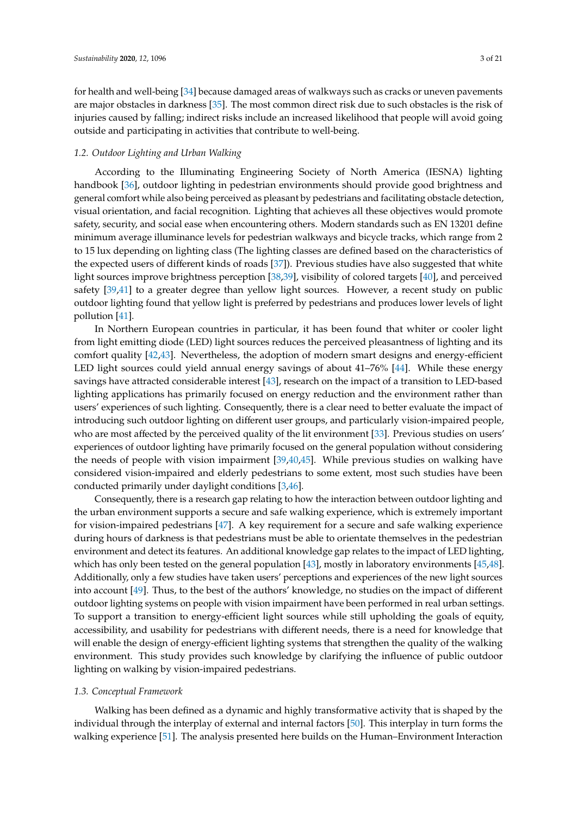for health and well-being [\[34\]](#page-18-12) because damaged areas of walkways such as cracks or uneven pavements are major obstacles in darkness [\[35\]](#page-18-13). The most common direct risk due to such obstacles is the risk of injuries caused by falling; indirect risks include an increased likelihood that people will avoid going outside and participating in activities that contribute to well-being.

#### *1.2. Outdoor Lighting and Urban Walking*

According to the Illuminating Engineering Society of North America (IESNA) lighting handbook [\[36\]](#page-18-14), outdoor lighting in pedestrian environments should provide good brightness and general comfort while also being perceived as pleasant by pedestrians and facilitating obstacle detection, visual orientation, and facial recognition. Lighting that achieves all these objectives would promote safety, security, and social ease when encountering others. Modern standards such as EN 13201 define minimum average illuminance levels for pedestrian walkways and bicycle tracks, which range from 2 to 15 lux depending on lighting class (The lighting classes are defined based on the characteristics of the expected users of different kinds of roads [\[37\]](#page-18-15)). Previous studies have also suggested that white light sources improve brightness perception [\[38](#page-18-16)[,39\]](#page-19-0), visibility of colored targets [\[40\]](#page-19-1), and perceived safety [\[39](#page-19-0)[,41\]](#page-19-2) to a greater degree than yellow light sources. However, a recent study on public outdoor lighting found that yellow light is preferred by pedestrians and produces lower levels of light pollution [\[41\]](#page-19-2).

In Northern European countries in particular, it has been found that whiter or cooler light from light emitting diode (LED) light sources reduces the perceived pleasantness of lighting and its comfort quality [\[42,](#page-19-3)[43\]](#page-19-4). Nevertheless, the adoption of modern smart designs and energy-efficient LED light sources could yield annual energy savings of about 41–76% [\[44\]](#page-19-5). While these energy savings have attracted considerable interest [\[43\]](#page-19-4), research on the impact of a transition to LED-based lighting applications has primarily focused on energy reduction and the environment rather than users' experiences of such lighting. Consequently, there is a clear need to better evaluate the impact of introducing such outdoor lighting on different user groups, and particularly vision-impaired people, who are most affected by the perceived quality of the lit environment [\[33\]](#page-18-11). Previous studies on users' experiences of outdoor lighting have primarily focused on the general population without considering the needs of people with vision impairment [\[39](#page-19-0)[,40](#page-19-1)[,45\]](#page-19-6). While previous studies on walking have considered vision-impaired and elderly pedestrians to some extent, most such studies have been conducted primarily under daylight conditions [\[3](#page-17-15)[,46\]](#page-19-7).

Consequently, there is a research gap relating to how the interaction between outdoor lighting and the urban environment supports a secure and safe walking experience, which is extremely important for vision-impaired pedestrians [\[47\]](#page-19-8). A key requirement for a secure and safe walking experience during hours of darkness is that pedestrians must be able to orientate themselves in the pedestrian environment and detect its features. An additional knowledge gap relates to the impact of LED lighting, which has only been tested on the general population [\[43\]](#page-19-4), mostly in laboratory environments [\[45](#page-19-6)[,48\]](#page-19-9). Additionally, only a few studies have taken users' perceptions and experiences of the new light sources into account [\[49\]](#page-19-10). Thus, to the best of the authors' knowledge, no studies on the impact of different outdoor lighting systems on people with vision impairment have been performed in real urban settings. To support a transition to energy-efficient light sources while still upholding the goals of equity, accessibility, and usability for pedestrians with different needs, there is a need for knowledge that will enable the design of energy-efficient lighting systems that strengthen the quality of the walking environment. This study provides such knowledge by clarifying the influence of public outdoor lighting on walking by vision-impaired pedestrians.

#### *1.3. Conceptual Framework*

Walking has been defined as a dynamic and highly transformative activity that is shaped by the individual through the interplay of external and internal factors [\[50\]](#page-19-11). This interplay in turn forms the walking experience [\[51\]](#page-19-12). The analysis presented here builds on the Human–Environment Interaction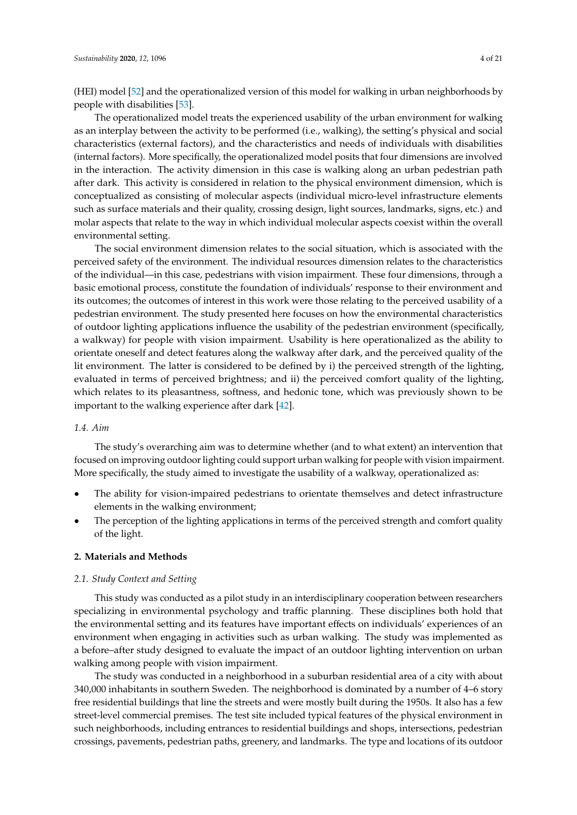(HEI) model [\[52\]](#page-19-13) and the operationalized version of this model for walking in urban neighborhoods by people with disabilities [\[53\]](#page-19-14).

The operationalized model treats the experienced usability of the urban environment for walking as an interplay between the activity to be performed (i.e., walking), the setting's physical and social characteristics (external factors), and the characteristics and needs of individuals with disabilities (internal factors). More specifically, the operationalized model posits that four dimensions are involved in the interaction. The activity dimension in this case is walking along an urban pedestrian path after dark. This activity is considered in relation to the physical environment dimension, which is conceptualized as consisting of molecular aspects (individual micro-level infrastructure elements such as surface materials and their quality, crossing design, light sources, landmarks, signs, etc.) and molar aspects that relate to the way in which individual molecular aspects coexist within the overall environmental setting.

The social environment dimension relates to the social situation, which is associated with the perceived safety of the environment. The individual resources dimension relates to the characteristics of the individual—in this case, pedestrians with vision impairment. These four dimensions, through a basic emotional process, constitute the foundation of individuals' response to their environment and its outcomes; the outcomes of interest in this work were those relating to the perceived usability of a pedestrian environment. The study presented here focuses on how the environmental characteristics of outdoor lighting applications influence the usability of the pedestrian environment (specifically, a walkway) for people with vision impairment. Usability is here operationalized as the ability to orientate oneself and detect features along the walkway after dark, and the perceived quality of the lit environment. The latter is considered to be defined by i) the perceived strength of the lighting, evaluated in terms of perceived brightness; and ii) the perceived comfort quality of the lighting, which relates to its pleasantness, softness, and hedonic tone, which was previously shown to be important to the walking experience after dark [\[42\]](#page-19-3).

#### *1.4. Aim*

The study's overarching aim was to determine whether (and to what extent) an intervention that focused on improving outdoor lighting could support urban walking for people with vision impairment. More specifically, the study aimed to investigate the usability of a walkway, operationalized as:

- The ability for vision-impaired pedestrians to orientate themselves and detect infrastructure elements in the walking environment;
- The perception of the lighting applications in terms of the perceived strength and comfort quality of the light.

#### **2. Materials and Methods**

#### *2.1. Study Context and Setting*

This study was conducted as a pilot study in an interdisciplinary cooperation between researchers specializing in environmental psychology and traffic planning. These disciplines both hold that the environmental setting and its features have important effects on individuals' experiences of an environment when engaging in activities such as urban walking. The study was implemented as a before–after study designed to evaluate the impact of an outdoor lighting intervention on urban walking among people with vision impairment.

The study was conducted in a neighborhood in a suburban residential area of a city with about 340,000 inhabitants in southern Sweden. The neighborhood is dominated by a number of 4–6 story free residential buildings that line the streets and were mostly built during the 1950s. It also has a few street-level commercial premises. The test site included typical features of the physical environment in such neighborhoods, including entrances to residential buildings and shops, intersections, pedestrian crossings, pavements, pedestrian paths, greenery, and landmarks. The type and locations of its outdoor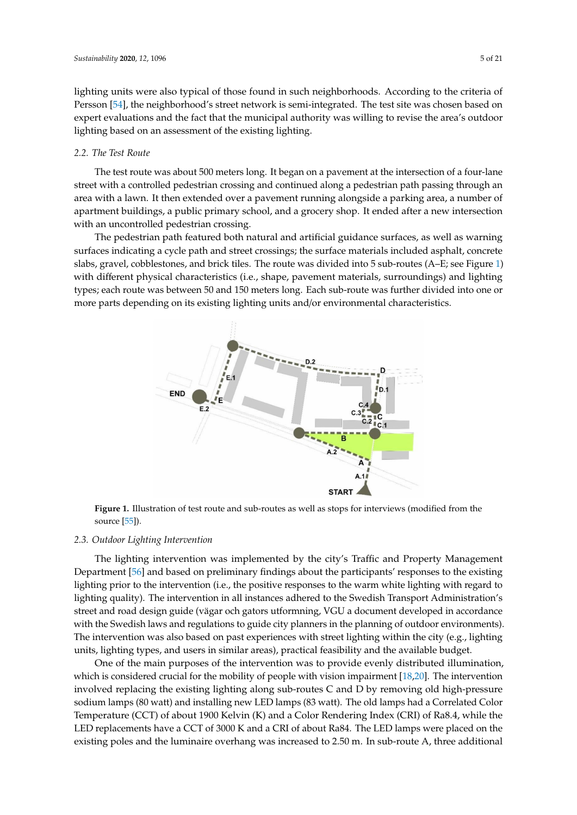lighting units were also typical of those found in such neighborhoods. According to the criteria of Persson [\[54\]](#page-19-15), the neighborhood's street network is semi-integrated. The test site was chosen based on expert evaluations and the fact that the municipal authority was willing to revise the area's outdoor lighting based on an assessment of the existing lighting.

#### *2.2. The Test Route*

The test route was about 500 meters long. It began on a pavement at the intersection of a four-lane street with a controlled pedestrian crossing and continued along a pedestrian path passing through an area with a lawn. It then extended over a pavement running alongside a parking area, a number of apartment buildings, a public primary school, and a grocery shop. It ended after a new intersection with an uncontrolled pedestrian crossing.

The pedestrian path featured both natural and artificial guidance surfaces, as well as warning surfaces indicating a cycle path and street crossings; the surface materials included asphalt, concrete slabs, gravel, cobblestones, and brick tiles. The route was divided into 5 sub-routes (A–E; see Figure [1\)](#page-4-0) with different physical characteristics (i.e., shape, pavement materials, surroundings) and lighting types; each route was between 50 and 150 meters long. Each sub-route was further divided into one or more parts depending on its existing lighting units and/or environmental characteristics.

<span id="page-4-0"></span>

**Figure 1.** Illustration of test route and sub-routes as well as stops for interviews (modified from the source [\[55\]](#page-19-16)).

#### *2.3. Outdoor Lighting Intervention*

The lighting intervention was implemented by the city's Traffic and Property Management Department [\[56\]](#page-19-17) and based on preliminary findings about the participants' responses to the existing lighting prior to the intervention (i.e., the positive responses to the warm white lighting with regard to lighting quality). The intervention in all instances adhered to the Swedish Transport Administration's street and road design guide (vägar och gators utformning, VGU a document developed in accordance with the Swedish laws and regulations to guide city planners in the planning of outdoor environments). The intervention was also based on past experiences with street lighting within the city (e.g., lighting units, lighting types, and users in similar areas), practical feasibility and the available budget.

One of the main purposes of the intervention was to provide evenly distributed illumination, which is considered crucial for the mobility of people with vision impairment [\[18](#page-18-1)[,20\]](#page-18-2). The intervention involved replacing the existing lighting along sub-routes C and D by removing old high-pressure sodium lamps (80 watt) and installing new LED lamps (83 watt). The old lamps had a Correlated Color Temperature (CCT) of about 1900 Kelvin (K) and a Color Rendering Index (CRI) of Ra8.4, while the LED replacements have a CCT of 3000 K and a CRI of about Ra84. The LED lamps were placed on the existing poles and the luminaire overhang was increased to 2.50 m. In sub-route A, three additional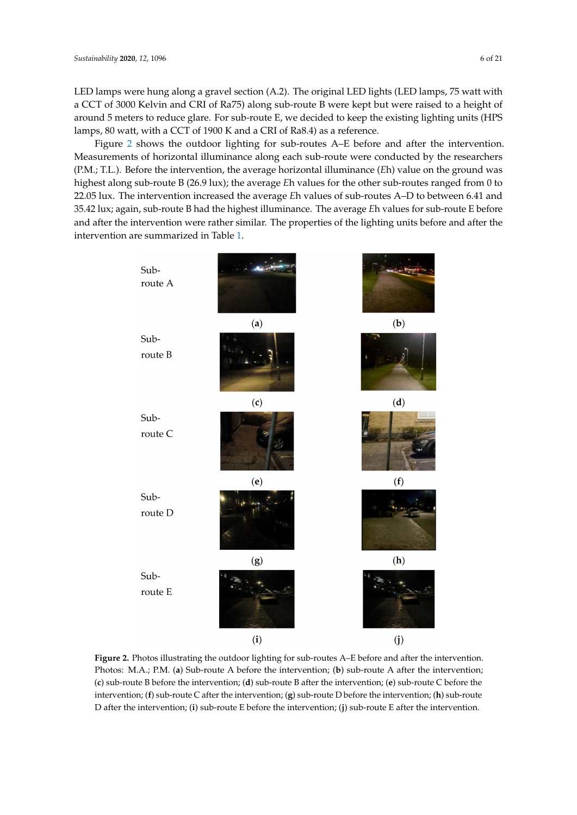LED lamps were hung along a gravel section (A.2). The original LED lights (LED lamps, 75 watt with a CCT of 3000 Kelvin and CRI of Ra75) along sub-route B were kept but were raised to a height of around 5 meters to reduce glare. For sub-route E, we decided to keep the existing lighting units (HPS lamps, 80 watt, with a CCT of 1900 K and a CRI of Ra8.4) as a reference.

Figure [2](#page-5-0) shows the outdoor lighting for sub-routes A–E before and after the intervention. Measurements of horizontal illuminance along each sub-route were conducted by the researchers (P.M.; T.L.). Before the intervention, the average horizontal illuminance (*E*h) value on the ground was highest along sub-route B (26.9 lux); the average *E*h values for the other sub-routes ranged from 0 to 22.05 lux. The intervention increased the average *E*h values of sub-routes A–D to between 6.41 and 35.42 lux; again, sub-route B had the highest illuminance. The average *E*h values for sub-route E before and after the intervention were rather similar. The properties of the lighting units before and after the intervention are summarized in Table [1.](#page-6-0)

<span id="page-5-0"></span>

**Figure 2.** Photos illustrating the outdoor lighting for sub-routes A–E before and after the intervention. Photos: M.A.; P.M. (**a**) Sub-route A before the intervention; (**b**) sub-route A after the intervention; (**c**) sub-route B before the intervention; (**d**) sub-route B after the intervention; (**e**) sub-route C before the intervention; (**f**) sub-route C after the intervention; (**g**) sub-route D before the intervention; (**h**) sub-route D after the intervention; (**i**) sub-route E before the intervention; (**j**) sub-route E after the intervention.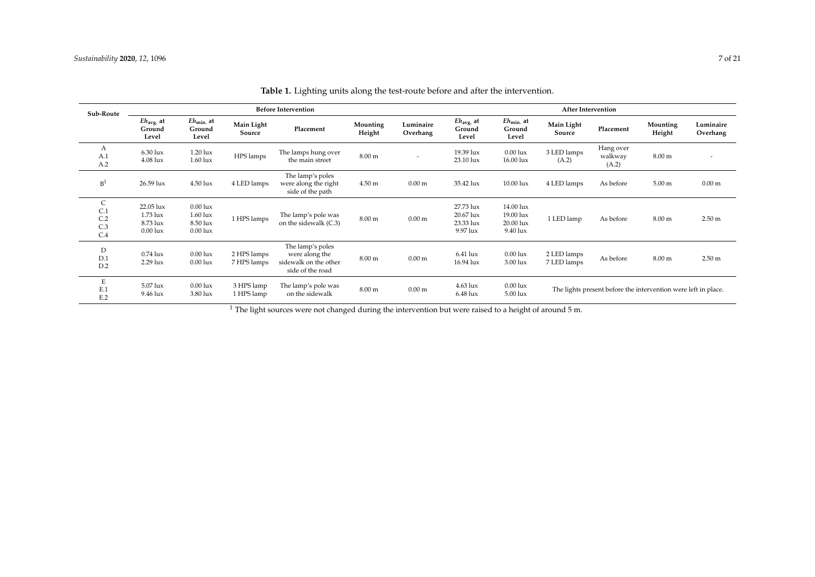| Sub-Route                     |                                                   | <b>Before Intervention</b>                         |                            |                                                                                 |                    |                          |                                                 | <b>After Intervention</b>                       |                            |                               |                                                                |                       |
|-------------------------------|---------------------------------------------------|----------------------------------------------------|----------------------------|---------------------------------------------------------------------------------|--------------------|--------------------------|-------------------------------------------------|-------------------------------------------------|----------------------------|-------------------------------|----------------------------------------------------------------|-----------------------|
|                               | $Eh_{\text{avg}}$ at<br>Ground<br>Level           | $Eh_{\text{min}}$ at<br>Ground<br>Level            | Main Light<br>Source       | Placement                                                                       | Mounting<br>Height | Luminaire<br>Overhang    | $Eh_{\text{avg}}$ , at<br>Ground<br>Level       | $Eh_{\text{min}}$ at<br>Ground<br>Level         | Main Light<br>Source       | Placement                     | Mounting<br>Height                                             | Luminaire<br>Overhang |
| А<br>A.1<br>A.2               | 6.30 lux<br>$4.08$ lux                            | $1.20$ $\text{lux}$<br>$1.60$ lux                  | HPS lamps                  | The lamps hung over<br>the main street                                          | $8.00 \text{ m}$   | $\overline{\phantom{a}}$ | 19.39 lux<br>23.10 lux                          | $0.00$ lux<br>16.00 lux                         | 3 LED lamps<br>(A.2)       | Hang over<br>walkway<br>(A.2) | 8.00 <sub>m</sub>                                              |                       |
| B <sup>1</sup>                | 26.59 lux                                         | 4.50 lux                                           | 4 LED lamps                | The lamp's poles<br>were along the right<br>side of the path                    | 4.50 m             | 0.00 <sub>m</sub>        | 35.42 lux                                       | 10.00 lux                                       | 4 LED lamps                | As before                     | 5.00 <sub>m</sub>                                              | 0.00 <sub>m</sub>     |
| Ć<br>C.1<br>C.2<br>C.3<br>C.4 | 22.05 lux<br>$1.73$ lux<br>8.73 lux<br>$0.00$ lux | $0.00$ lux<br>$1.60$ lux<br>8.50 lux<br>$0.00$ lux | 1 HPS lamps                | The lamp's pole was<br>on the sidewalk (C.3)                                    | 8.00 <sub>m</sub>  | 0.00 <sub>m</sub>        | 27.73 lux<br>20.67 lux<br>23.33 lux<br>9.97 lux | 14.00 lux<br>19.00 lux<br>20.00 lux<br>9.40 lux | 1 LED lamp                 | As before                     | 8.00 <sub>m</sub>                                              | 2.50 m                |
| D<br>D.1<br>D.2               | $0.74$ lux<br>$2.29$ lux                          | $0.00$ lux<br>$0.00$ lux                           | 2 HPS lamps<br>7 HPS lamps | The lamp's poles<br>were along the<br>sidewalk on the other<br>side of the road | $8.00 \text{ m}$   | 0.00 <sub>m</sub>        | 6.41 lux<br>16.94 lux                           | $0.00$ lux<br>3.00 lux                          | 2 LED lamps<br>7 LED lamps | As before                     | 8.00 <sub>m</sub>                                              | 2.50 <sub>m</sub>     |
| E<br>E.1<br>E.2               | 5.07 lux<br>9.46 lux                              | $0.00$ lux<br>3.80 lux                             | 3 HPS lamp<br>1 HPS lamp   | The lamp's pole was<br>on the sidewalk                                          | $8.00 \text{ m}$   | 0.00 <sub>m</sub>        | 4.63 lux<br>6.48 lux                            | $0.00$ lux<br>5.00 lux                          |                            |                               | The lights present before the intervention were left in place. |                       |

**Table 1.** Lighting units along the test-route before and after the intervention.

<span id="page-6-0"></span><sup>1</sup> The light sources were not changed during the intervention but were raised to a height of around 5 m.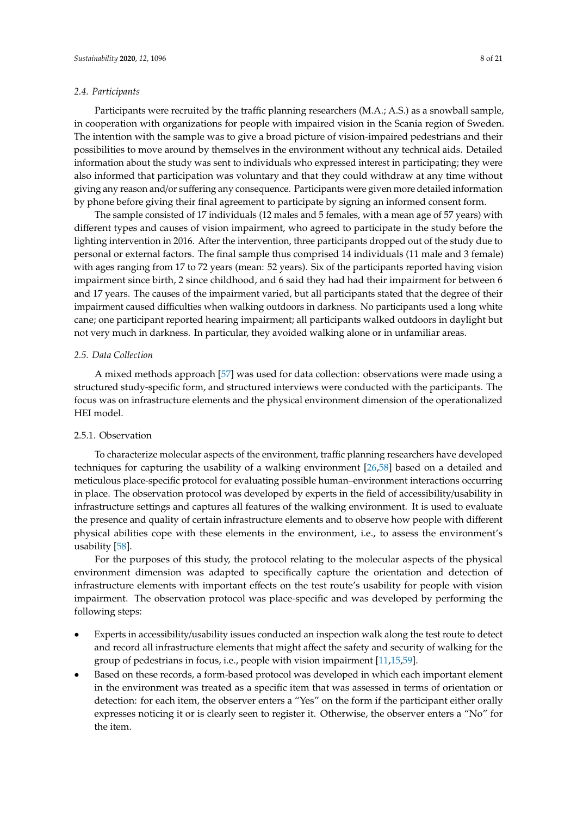#### *2.4. Participants*

Participants were recruited by the traffic planning researchers (M.A.; A.S.) as a snowball sample, in cooperation with organizations for people with impaired vision in the Scania region of Sweden. The intention with the sample was to give a broad picture of vision-impaired pedestrians and their possibilities to move around by themselves in the environment without any technical aids. Detailed information about the study was sent to individuals who expressed interest in participating; they were also informed that participation was voluntary and that they could withdraw at any time without giving any reason and/or suffering any consequence. Participants were given more detailed information by phone before giving their final agreement to participate by signing an informed consent form.

The sample consisted of 17 individuals (12 males and 5 females, with a mean age of 57 years) with different types and causes of vision impairment, who agreed to participate in the study before the lighting intervention in 2016. After the intervention, three participants dropped out of the study due to personal or external factors. The final sample thus comprised 14 individuals (11 male and 3 female) with ages ranging from 17 to 72 years (mean: 52 years). Six of the participants reported having vision impairment since birth, 2 since childhood, and 6 said they had had their impairment for between 6 and 17 years. The causes of the impairment varied, but all participants stated that the degree of their impairment caused difficulties when walking outdoors in darkness. No participants used a long white cane; one participant reported hearing impairment; all participants walked outdoors in daylight but not very much in darkness. In particular, they avoided walking alone or in unfamiliar areas.

#### *2.5. Data Collection*

A mixed methods approach [\[57\]](#page-19-18) was used for data collection: observations were made using a structured study-specific form, and structured interviews were conducted with the participants. The focus was on infrastructure elements and the physical environment dimension of the operationalized HEI model.

#### 2.5.1. Observation

To characterize molecular aspects of the environment, traffic planning researchers have developed techniques for capturing the usability of a walking environment [\[26,](#page-18-6)[58\]](#page-19-19) based on a detailed and meticulous place-specific protocol for evaluating possible human–environment interactions occurring in place. The observation protocol was developed by experts in the field of accessibility/usability in infrastructure settings and captures all features of the walking environment. It is used to evaluate the presence and quality of certain infrastructure elements and to observe how people with different physical abilities cope with these elements in the environment, i.e., to assess the environment's usability [\[58\]](#page-19-19).

For the purposes of this study, the protocol relating to the molecular aspects of the physical environment dimension was adapted to specifically capture the orientation and detection of infrastructure elements with important effects on the test route's usability for people with vision impairment. The observation protocol was place-specific and was developed by performing the following steps:

- Experts in accessibility/usability issues conducted an inspection walk along the test route to detect and record all infrastructure elements that might affect the safety and security of walking for the group of pedestrians in focus, i.e., people with vision impairment [\[11](#page-17-9)[,15,](#page-17-13)[59\]](#page-19-20).
- Based on these records, a form-based protocol was developed in which each important element in the environment was treated as a specific item that was assessed in terms of orientation or detection: for each item, the observer enters a "Yes" on the form if the participant either orally expresses noticing it or is clearly seen to register it. Otherwise, the observer enters a "No" for the item.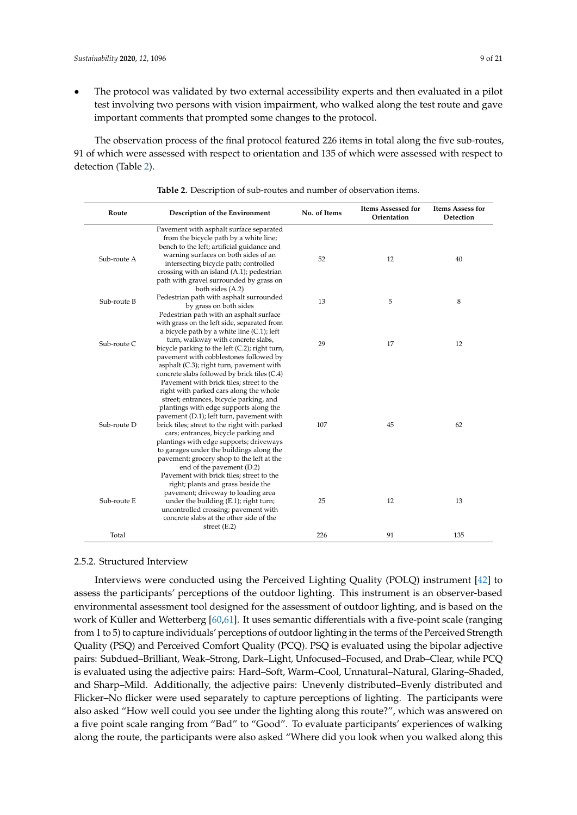• The protocol was validated by two external accessibility experts and then evaluated in a pilot test involving two persons with vision impairment, who walked along the test route and gave important comments that prompted some changes to the protocol.

The observation process of the final protocol featured 226 items in total along the five sub-routes, 91 of which were assessed with respect to orientation and 135 of which were assessed with respect to detection (Table [2\)](#page-8-0).

<span id="page-8-0"></span>

| Route       | Description of the Environment                                                                                                                                                                                                                                                                                                                                                                                                                                               | No. of Items | <b>Items Assessed for</b><br>Orientation | <b>Items Assess for</b><br>Detection |
|-------------|------------------------------------------------------------------------------------------------------------------------------------------------------------------------------------------------------------------------------------------------------------------------------------------------------------------------------------------------------------------------------------------------------------------------------------------------------------------------------|--------------|------------------------------------------|--------------------------------------|
| Sub-route A | Pavement with asphalt surface separated<br>from the bicycle path by a white line;<br>bench to the left; artificial guidance and<br>warning surfaces on both sides of an<br>intersecting bicycle path; controlled<br>crossing with an island (A.1); pedestrian<br>path with gravel surrounded by grass on<br>both sides (A.2)                                                                                                                                                 | 52           | 12                                       | 40                                   |
| Sub-route B | Pedestrian path with asphalt surrounded<br>by grass on both sides                                                                                                                                                                                                                                                                                                                                                                                                            | 13           | 5                                        | 8                                    |
| Sub-route C | Pedestrian path with an asphalt surface<br>with grass on the left side, separated from<br>a bicycle path by a white line $(C.1)$ ; left<br>turn, walkway with concrete slabs,<br>bicycle parking to the left (C.2); right turn,<br>pavement with cobblestones followed by<br>asphalt (C.3); right turn, pavement with<br>concrete slabs followed by brick tiles (C.4)                                                                                                        | 29           | 17                                       | 12                                   |
| Sub-route D | Pavement with brick tiles; street to the<br>right with parked cars along the whole<br>street; entrances, bicycle parking, and<br>plantings with edge supports along the<br>pavement (D.1); left turn, pavement with<br>brick tiles; street to the right with parked<br>cars; entrances, bicycle parking and<br>plantings with edge supports; driveways<br>to garages under the buildings along the<br>pavement; grocery shop to the left at the<br>end of the pavement (D.2) | 107          | 45                                       | 62                                   |
| Sub-route E | Pavement with brick tiles; street to the<br>right; plants and grass beside the<br>pavement; driveway to loading area<br>under the building $(E.1)$ ; right turn;<br>uncontrolled crossing; pavement with<br>concrete slabs at the other side of the<br>street $(E.2)$                                                                                                                                                                                                        | 25           | 12                                       | 13                                   |
| Total       |                                                                                                                                                                                                                                                                                                                                                                                                                                                                              | 226          | 91                                       | 135                                  |

**Table 2.** Description of sub-routes and number of observation items.

#### 2.5.2. Structured Interview

Interviews were conducted using the Perceived Lighting Quality (POLQ) instrument [\[42\]](#page-19-3) to assess the participants' perceptions of the outdoor lighting. This instrument is an observer-based environmental assessment tool designed for the assessment of outdoor lighting, and is based on the work of Küller and Wetterberg [\[60](#page-19-21)[,61\]](#page-19-22). It uses semantic differentials with a five-point scale (ranging from 1 to 5) to capture individuals' perceptions of outdoor lighting in the terms of the Perceived Strength Quality (PSQ) and Perceived Comfort Quality (PCQ). PSQ is evaluated using the bipolar adjective pairs: Subdued–Brilliant, Weak–Strong, Dark–Light, Unfocused–Focused, and Drab–Clear, while PCQ is evaluated using the adjective pairs: Hard–Soft, Warm–Cool, Unnatural–Natural, Glaring–Shaded, and Sharp–Mild. Additionally, the adjective pairs: Unevenly distributed–Evenly distributed and Flicker–No flicker were used separately to capture perceptions of lighting. The participants were also asked "How well could you see under the lighting along this route?", which was answered on a five point scale ranging from "Bad" to "Good". To evaluate participants' experiences of walking along the route, the participants were also asked "Where did you look when you walked along this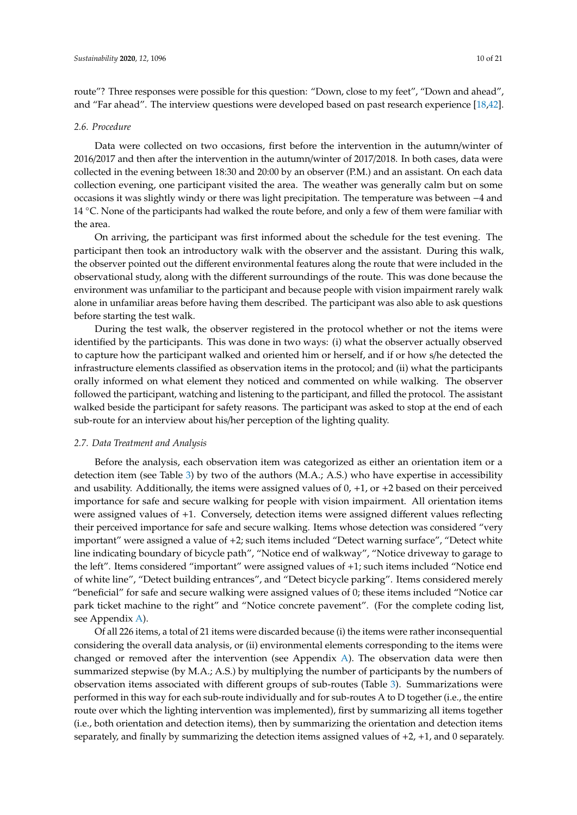route"? Three responses were possible for this question: "Down, close to my feet", "Down and ahead", and "Far ahead". The interview questions were developed based on past research experience [\[18,](#page-18-1)[42\]](#page-19-3).

## *2.6. Procedure*

Data were collected on two occasions, first before the intervention in the autumn/winter of 2016/2017 and then after the intervention in the autumn/winter of 2017/2018. In both cases, data were collected in the evening between 18:30 and 20:00 by an observer (P.M.) and an assistant. On each data collection evening, one participant visited the area. The weather was generally calm but on some occasions it was slightly windy or there was light precipitation. The temperature was between −4 and 14  $°C$ . None of the participants had walked the route before, and only a few of them were familiar with the area.

On arriving, the participant was first informed about the schedule for the test evening. The participant then took an introductory walk with the observer and the assistant. During this walk, the observer pointed out the different environmental features along the route that were included in the observational study, along with the different surroundings of the route. This was done because the environment was unfamiliar to the participant and because people with vision impairment rarely walk alone in unfamiliar areas before having them described. The participant was also able to ask questions before starting the test walk.

During the test walk, the observer registered in the protocol whether or not the items were identified by the participants. This was done in two ways: (i) what the observer actually observed to capture how the participant walked and oriented him or herself, and if or how s/he detected the infrastructure elements classified as observation items in the protocol; and (ii) what the participants orally informed on what element they noticed and commented on while walking. The observer followed the participant, watching and listening to the participant, and filled the protocol. The assistant walked beside the participant for safety reasons. The participant was asked to stop at the end of each sub-route for an interview about his/her perception of the lighting quality.

#### *2.7. Data Treatment and Analysis*

Before the analysis, each observation item was categorized as either an orientation item or a detection item (see Table [3\)](#page-10-0) by two of the authors (M.A.; A.S.) who have expertise in accessibility and usability. Additionally, the items were assigned values of  $0, +1$ , or  $+2$  based on their perceived importance for safe and secure walking for people with vision impairment. All orientation items were assigned values of +1. Conversely, detection items were assigned different values reflecting their perceived importance for safe and secure walking. Items whose detection was considered "very important" were assigned a value of +2; such items included "Detect warning surface", "Detect white line indicating boundary of bicycle path", "Notice end of walkway", "Notice driveway to garage to the left". Items considered "important" were assigned values of +1; such items included "Notice end of white line", "Detect building entrances", and "Detect bicycle parking". Items considered merely "beneficial" for safe and secure walking were assigned values of 0; these items included "Notice car park ticket machine to the right" and "Notice concrete pavement". (For the complete coding list, see Appendix [A\)](#page-16-0).

Of all 226 items, a total of 21 items were discarded because (i) the items were rather inconsequential considering the overall data analysis, or (ii) environmental elements corresponding to the items were changed or removed after the intervention (see Appendix [A\)](#page-16-0). The observation data were then summarized stepwise (by M.A.; A.S.) by multiplying the number of participants by the numbers of observation items associated with different groups of sub-routes (Table [3\)](#page-10-0). Summarizations were performed in this way for each sub-route individually and for sub-routes A to D together (i.e., the entire route over which the lighting intervention was implemented), first by summarizing all items together (i.e., both orientation and detection items), then by summarizing the orientation and detection items separately, and finally by summarizing the detection items assigned values of +2, +1, and 0 separately.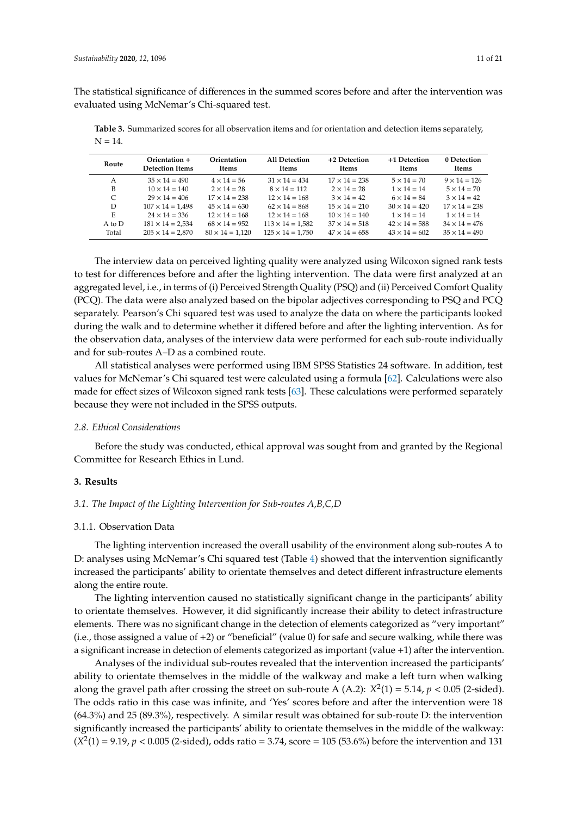The statistical significance of differences in the summed scores before and after the intervention was evaluated using McNemar's Chi-squared test.

| Route  | Orientation +<br><b>Detection Items</b> | Orientation<br>Items   | <b>All Detection</b><br><b>Items</b> | +2 Detection<br>Items | +1 Detection<br>Items | 0 Detection<br>Items |
|--------|-----------------------------------------|------------------------|--------------------------------------|-----------------------|-----------------------|----------------------|
| А      | $35 \times 14 = 490$                    | $4 \times 14 = 56$     | $31 \times 14 = 434$                 | $17 \times 14 = 238$  | $5 \times 14 = 70$    | $9 \times 14 = 126$  |
| B      | $10 \times 14 = 140$                    | $2 \times 14 = 28$     | $8 \times 14 = 112$                  | $2 \times 14 = 28$    | $1 \times 14 = 14$    | $5 \times 14 = 70$   |
| C      | $29 \times 14 = 406$                    | $17 \times 14 = 238$   | $12 \times 14 = 168$                 | $3 \times 14 = 42$    | $6 \times 14 = 84$    | $3 \times 14 = 42$   |
| D      | $107 \times 14 = 1.498$                 | $45 \times 14 = 630$   | $62 \times 14 = 868$                 | $15 \times 14 = 210$  | $30 \times 14 = 420$  | $17 \times 14 = 238$ |
| E      | $24 \times 14 = 336$                    | $12 \times 14 = 168$   | $12 \times 14 = 168$                 | $10 \times 14 = 140$  | $1 \times 14 = 14$    | $1 \times 14 = 14$   |
| A to D | $181 \times 14 = 2.534$                 | $68 \times 14 = 952$   | $113 \times 14 = 1.582$              | $37 \times 14 = 518$  | $42 \times 14 = 588$  | $34 \times 14 = 476$ |
| Total  | $205 \times 14 = 2.870$                 | $80 \times 14 = 1.120$ | $125 \times 14 = 1.750$              | $47 \times 14 = 658$  | $43 \times 14 = 602$  | $35 \times 14 = 490$ |

<span id="page-10-0"></span>**Table 3.** Summarized scores for all observation items and for orientation and detection items separately,  $N = 14.$ 

The interview data on perceived lighting quality were analyzed using Wilcoxon signed rank tests to test for differences before and after the lighting intervention. The data were first analyzed at an aggregated level, i.e., in terms of (i) Perceived Strength Quality (PSQ) and (ii) Perceived Comfort Quality (PCQ). The data were also analyzed based on the bipolar adjectives corresponding to PSQ and PCQ separately. Pearson's Chi squared test was used to analyze the data on where the participants looked during the walk and to determine whether it differed before and after the lighting intervention. As for the observation data, analyses of the interview data were performed for each sub-route individually and for sub-routes A–D as a combined route.

All statistical analyses were performed using IBM SPSS Statistics 24 software. In addition, test values for McNemar's Chi squared test were calculated using a formula [\[62\]](#page-19-23). Calculations were also made for effect sizes of Wilcoxon signed rank tests [\[63\]](#page-19-24). These calculations were performed separately because they were not included in the SPSS outputs.

#### *2.8. Ethical Considerations*

Before the study was conducted, ethical approval was sought from and granted by the Regional Committee for Research Ethics in Lund.

## **3. Results**

#### *3.1. The Impact of the Lighting Intervention for Sub-routes A,B,C,D*

#### 3.1.1. Observation Data

The lighting intervention increased the overall usability of the environment along sub-routes A to D: analyses using McNemar's Chi squared test (Table [4\)](#page-11-0) showed that the intervention significantly increased the participants' ability to orientate themselves and detect different infrastructure elements along the entire route.

The lighting intervention caused no statistically significant change in the participants' ability to orientate themselves. However, it did significantly increase their ability to detect infrastructure elements. There was no significant change in the detection of elements categorized as "very important" (i.e., those assigned a value of +2) or "beneficial" (value 0) for safe and secure walking, while there was a significant increase in detection of elements categorized as important (value +1) after the intervention.

Analyses of the individual sub-routes revealed that the intervention increased the participants' ability to orientate themselves in the middle of the walkway and make a left turn when walking along the gravel path after crossing the street on sub-route A (A.2):  $X^2(1) = 5.14$ ,  $p < 0.05$  (2-sided). The odds ratio in this case was infinite, and 'Yes' scores before and after the intervention were 18 (64.3%) and 25 (89.3%), respectively. A similar result was obtained for sub-route D: the intervention significantly increased the participants' ability to orientate themselves in the middle of the walkway:  $(X^2(1) = 9.19, p < 0.005$  (2-sided), odds ratio = 3.74, score = 105 (53.6%) before the intervention and 131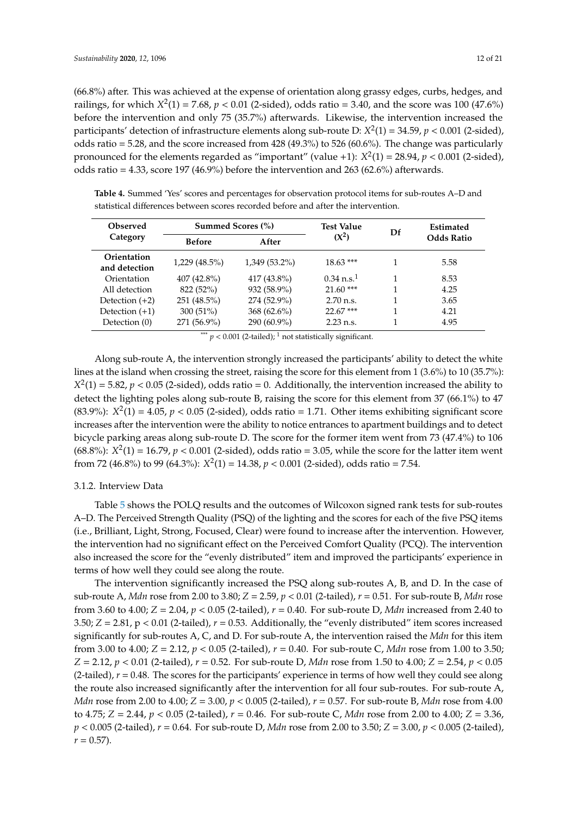(66.8%) after. This was achieved at the expense of orientation along grassy edges, curbs, hedges, and railings, for which  $X^2(1) = 7.68$ ,  $p < 0.01$  (2-sided), odds ratio = 3.40, and the score was 100 (47.6%) before the intervention and only 75 (35.7%) afterwards. Likewise, the intervention increased the participants' detection of infrastructure elements along sub-route D:  $X^2(1) = 34.59$ ,  $p < 0.001$  (2-sided), odds ratio = 5.28, and the score increased from 428 (49.3%) to 526 (60.6%). The change was particularly pronounced for the elements regarded as "important" (value +1):  $X^2(1) = 28.94$ ,  $p < 0.001$  (2-sided), odds ratio =  $4.33$ , score 197 (46.9%) before the intervention and 263 (62.6%) afterwards.

| <b>Observed</b>              |                        | <b>Summed Scores (%)</b> | <b>Test Value</b>     | Df | Estimated         |  |
|------------------------------|------------------------|--------------------------|-----------------------|----|-------------------|--|
| Category                     | After<br><b>Before</b> |                          | $(X^2)$               |    | <b>Odds Ratio</b> |  |
| Orientation<br>and detection | 1,229 (48.5%)          | 1,349 (53.2%)            | $18.63***$            |    | 5.58              |  |
| Orientation                  | $407(42.8\%)$          | 417 (43.8%)              | $0.34 \text{ n.s.}^1$ | 1  | 8.53              |  |
| All detection                | 822(52%)               | 932 (58.9%)              | $21.60$ ***           |    | 4.25              |  |
| Detection (+2)               | 251 (48.5%)            | 274 (52.9%)              | $2.70$ n.s.           |    | 3.65              |  |
| Detection $(+1)$             | 300 $(51\%)$           | $368(62.6\%)$            | $22.67***$            |    | 4.21              |  |
| Detection (0)                | 271 (56.9%)            | 290 (60.9%)              | $2.23$ n.s.           |    | 4.95              |  |

<span id="page-11-0"></span>**Table 4.** Summed 'Yes' scores and percentages for observation protocol items for sub-routes A–D and statistical differences between scores recorded before and after the intervention.

\*\*\*  $p < 0.001$  (2-tailed); <sup>1</sup> not statistically significant.

Along sub-route A, the intervention strongly increased the participants' ability to detect the white lines at the island when crossing the street, raising the score for this element from 1 (3.6%) to 10 (35.7%):  $X^2(1) = 5.82$ ,  $p < 0.05$  (2-sided), odds ratio = 0. Additionally, the intervention increased the ability to detect the lighting poles along sub-route B, raising the score for this element from 37 (66.1%) to 47 (83.9%):  $X^2(1) = 4.05$ ,  $p < 0.05$  (2-sided), odds ratio = 1.71. Other items exhibiting significant score increases after the intervention were the ability to notice entrances to apartment buildings and to detect bicycle parking areas along sub-route D. The score for the former item went from 73 (47.4%) to 106 (68.8%):  $X^2(1) = 16.79$ ,  $p < 0.001$  (2-sided), odds ratio = 3.05, while the score for the latter item went from 72 (46.8%) to 99 (64.3%):  $X^2(1) = 14.38$ ,  $p < 0.001$  (2-sided), odds ratio = 7.54.

#### 3.1.2. Interview Data

Table [5](#page-12-0) shows the POLQ results and the outcomes of Wilcoxon signed rank tests for sub-routes A–D. The Perceived Strength Quality (PSQ) of the lighting and the scores for each of the five PSQ items (i.e., Brilliant, Light, Strong, Focused, Clear) were found to increase after the intervention. However, the intervention had no significant effect on the Perceived Comfort Quality (PCQ). The intervention also increased the score for the "evenly distributed" item and improved the participants' experience in terms of how well they could see along the route.

The intervention significantly increased the PSQ along sub-routes A, B, and D. In the case of sub-route A, *Mdn* rose from 2.00 to 3.80; *Z* = 2.59, *p* < 0.01 (2-tailed), *r* = 0.51. For sub-route B, *Mdn* rose from 3.60 to 4.00; *Z* = 2.04, *p* < 0.05 (2-tailed), *r* = 0.40. For sub-route D, *Mdn* increased from 2.40 to 3.50;  $Z = 2.81$ ,  $p < 0.01$  (2-tailed),  $r = 0.53$ . Additionally, the "evenly distributed" item scores increased significantly for sub-routes A, C, and D. For sub-route A, the intervention raised the *Mdn* for this item from 3.00 to 4.00; *Z* = 2.12, *p* < 0.05 (2-tailed), *r* = 0.40. For sub-route C, *Mdn* rose from 1.00 to 3.50; *Z* = 2.12, *p* < 0.01 (2-tailed), *r* = 0.52. For sub-route D, *Mdn* rose from 1.50 to 4.00; *Z* = 2.54, *p* < 0.05 (2-tailed), *r* = 0.48. The scores for the participants' experience in terms of how well they could see along the route also increased significantly after the intervention for all four sub-routes. For sub-route A, *Mdn* rose from 2.00 to 4.00; *Z* = 3.00, *p* < 0.005 (2-tailed), *r* = 0.57. For sub-route B, *Mdn* rose from 4.00 to 4.75; *Z* = 2.44, *p* < 0.05 (2-tailed), *r* = 0.46. For sub-route C, *Mdn* rose from 2.00 to 4.00; *Z* = 3.36, *p* < 0.005 (2-tailed), *r* = 0.64. For sub-route D, *Mdn* rose from 2.00 to 3.50; *Z* = 3.00, *p* < 0.005 (2-tailed),  $r = 0.57$ ).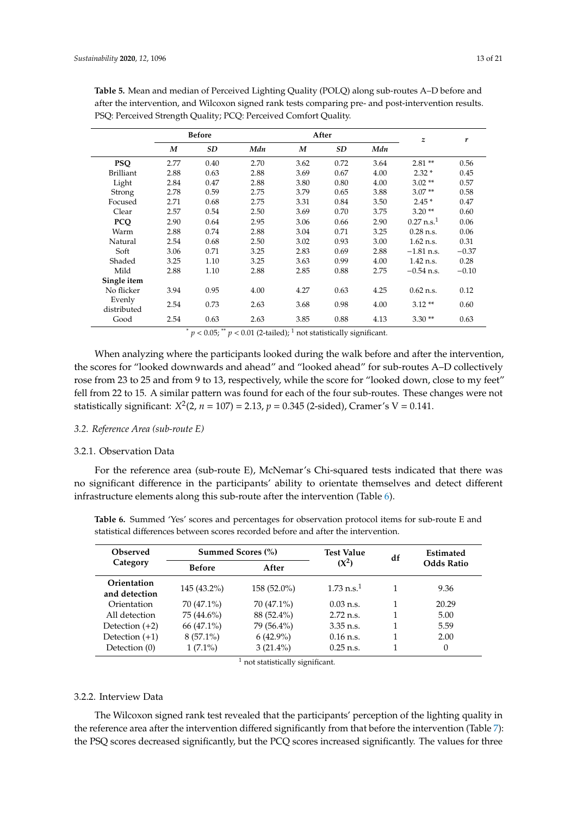|                       | <b>Before</b> |                     |      |      | After |      | $\boldsymbol{z}$         | r       |
|-----------------------|---------------|---------------------|------|------|-------|------|--------------------------|---------|
|                       | M             | SD                  | Mdn  | M    | SD    | Mdn  |                          |         |
| <b>PSO</b>            | 2.77          | 0.40                | 2.70 | 3.62 | 0.72  | 3.64 | $2.81**$                 | 0.56    |
| <b>Brilliant</b>      | 2.88          | 0.63                | 2.88 | 3.69 | 0.67  | 4.00 | $2.32*$                  | 0.45    |
| Light                 | 2.84          | 0.47                | 2.88 | 3.80 | 0.80  | 4.00 | $3.02**$                 | 0.57    |
| Strong                | 2.78          | 0.59                | 2.75 | 3.79 | 0.65  | 3.88 | $3.07**$                 | 0.58    |
| Focused               | 2.71          | 0.68                | 2.75 | 3.31 | 0.84  | 3.50 | $2.45*$                  | 0.47    |
| Clear                 | 2.57          | 0.54                | 2.50 | 3.69 | 0.70  | 3.75 | $3.20**$                 | 0.60    |
| <b>PCO</b>            | 2.90          | 0.64                | 2.95 | 3.06 | 0.66  | 2.90 | $0.27$ n.s. <sup>1</sup> | 0.06    |
| Warm                  | 2.88          | 0.74                | 2.88 | 3.04 | 0.71  | 3.25 | $0.28$ n.s.              | 0.06    |
| Natural               | 2.54          | 0.68                | 2.50 | 3.02 | 0.93  | 3.00 | $1.62$ n.s.              | 0.31    |
| Soft                  | 3.06          | 0.71                | 3.25 | 2.83 | 0.69  | 2.88 | $-1.81$ n.s.             | $-0.37$ |
| Shaded                | 3.25          | 1.10                | 3.25 | 3.63 | 0.99  | 4.00 | $1.42$ n.s.              | 0.28    |
| Mild                  | 2.88          | 1.10                | 2.88 | 2.85 | 0.88  | 2.75 | $-0.54$ n.s.             | $-0.10$ |
| Single item           |               |                     |      |      |       |      |                          |         |
| No flicker            | 3.94          | 0.95                | 4.00 | 4.27 | 0.63  | 4.25 | $0.62$ n.s.              | 0.12    |
| Evenly<br>distributed | 2.54          | 0.73                | 2.63 | 3.68 | 0.98  | 4.00 | $3.12**$                 | 0.60    |
| Good                  | 2.54          | 0.63<br><b>MAGE</b> | 2.63 | 3.85 | 0.88  | 4.13 | $3.30**$                 | 0.63    |

<span id="page-12-0"></span>**Table 5.** Mean and median of Perceived Lighting Quality (POLQ) along sub-routes A–D before and after the intervention, and Wilcoxon signed rank tests comparing pre- and post-intervention results. PSQ: Perceived Strength Quality; PCQ: Perceived Comfort Quality.

 $p < 0.05$ ; \*\*  $p < 0.01$  (2-tailed); <sup>1</sup> not statistically significant.

When analyzing where the participants looked during the walk before and after the intervention, the scores for "looked downwards and ahead" and "looked ahead" for sub-routes A–D collectively rose from 23 to 25 and from 9 to 13, respectively, while the score for "looked down, close to my feet" fell from 22 to 15. A similar pattern was found for each of the four sub-routes. These changes were not statistically significant:  $X^2(2, n = 107) = 2.13$ ,  $p = 0.345$  (2-sided), Cramer's V = 0.141.

## *3.2. Reference Area (sub-route E)*

#### 3.2.1. Observation Data

For the reference area (sub-route E), McNemar's Chi-squared tests indicated that there was no significant difference in the participants' ability to orientate themselves and detect different infrastructure elements along this sub-route after the intervention (Table [6\)](#page-12-1).

<span id="page-12-1"></span>**Table 6.** Summed 'Yes' scores and percentages for observation protocol items for sub-route E and statistical differences between scores recorded before and after the intervention.

| <b>Observed</b>              |               | Summed Scores (%) | <b>Test Value</b>     | df | Estimated         |
|------------------------------|---------------|-------------------|-----------------------|----|-------------------|
| Category                     | <b>Before</b> | After             | $(X^2)$               |    | <b>Odds Ratio</b> |
| Orientation<br>and detection | 145 (43.2%)   | $158(52.0\%)$     | $1.73 \text{ n.s.}^1$ |    | 9.36              |
| Orientation                  | 70 (47.1%)    | 70 (47.1%)        | $0.03$ n.s.           |    | 20.29             |
| All detection                | 75 (44.6%)    | 88 (52.4%)        | $2.72$ n.s.           |    | 5.00              |
| Detection $(+2)$             | 66 (47.1%)    | 79 (56.4%)        | $3.35$ n.s.           |    | 5.59              |
| Detection $(+1)$             | $8(57.1\%)$   | $6(42.9\%)$       | $0.16$ n.s.           |    | 2.00              |
| Detection (0)                | $1(7.1\%)$    | $3(21.4\%)$       | $0.25$ n.s.           |    | $\theta$          |

<sup>1</sup> not statistically significant.

#### 3.2.2. Interview Data

The Wilcoxon signed rank test revealed that the participants' perception of the lighting quality in the reference area after the intervention differed significantly from that before the intervention (Table [7\)](#page-13-0): the PSQ scores decreased significantly, but the PCQ scores increased significantly. The values for three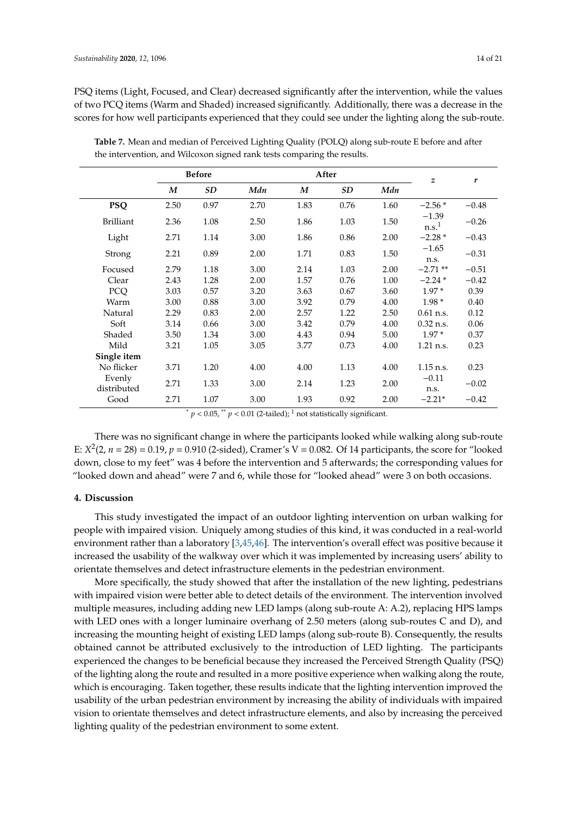PSQ items (Light, Focused, and Clear) decreased significantly after the intervention, while the values of two PCQ items (Warm and Shaded) increased significantly. Additionally, there was a decrease in the scores for how well participants experienced that they could see under the lighting along the sub-route.

|                       | <b>Before</b> |           |      |      | After     |      | $\boldsymbol{z}$             | r       |
|-----------------------|---------------|-----------|------|------|-----------|------|------------------------------|---------|
|                       | M             | <b>SD</b> | Mdn  | M    | <b>SD</b> | Mdn  |                              |         |
| <b>PSQ</b>            | 2.50          | 0.97      | 2.70 | 1.83 | 0.76      | 1.60 | $-2.56*$                     | $-0.48$ |
| <b>Brilliant</b>      | 2.36          | 1.08      | 2.50 | 1.86 | 1.03      | 1.50 | $-1.39$<br>n.s. <sup>1</sup> | $-0.26$ |
| Light                 | 2.71          | 1.14      | 3.00 | 1.86 | 0.86      | 2.00 | $-2.28*$                     | $-0.43$ |
| Strong                | 2.21          | 0.89      | 2.00 | 1.71 | 0.83      | 1.50 | $-1.65$<br>n.s.              | $-0.31$ |
| Focused               | 2.79          | 1.18      | 3.00 | 2.14 | 1.03      | 2.00 | $-2.71**$                    | $-0.51$ |
| Clear                 | 2.43          | 1.28      | 2.00 | 1.57 | 0.76      | 1.00 | $-2.24*$                     | $-0.42$ |
| <b>PCO</b>            | 3.03          | 0.57      | 3.20 | 3.63 | 0.67      | 3.60 | $1.97*$                      | 0.39    |
| Warm                  | 3.00          | 0.88      | 3.00 | 3.92 | 0.79      | 4.00 | $1.98*$                      | 0.40    |
| Natural               | 2.29          | 0.83      | 2.00 | 2.57 | 1.22      | 2.50 | $0.61$ n.s.                  | 0.12    |
| Soft                  | 3.14          | 0.66      | 3.00 | 3.42 | 0.79      | 4.00 | $0.32$ n.s.                  | 0.06    |
| Shaded                | 3.50          | 1.34      | 3.00 | 4.43 | 0.94      | 5.00 | $1.97*$                      | 0.37    |
| Mild                  | 3.21          | 1.05      | 3.05 | 3.77 | 0.73      | 4.00 | $1.21$ n.s.                  | 0.23    |
| Single item           |               |           |      |      |           |      |                              |         |
| No flicker            | 3.71          | 1.20      | 4.00 | 4.00 | 1.13      | 4.00 | $1.15$ n.s.                  | 0.23    |
| Evenly<br>distributed | 2.71          | 1.33      | 3.00 | 2.14 | 1.23      | 2.00 | $-0.11$<br>n.s.              | $-0.02$ |
| Good                  | 2.71          | 1.07      | 3.00 | 1.93 | 0.92      | 2.00 | $-2.21*$                     | $-0.42$ |

<span id="page-13-0"></span>**Table 7.** Mean and median of Perceived Lighting Quality (POLQ) along sub-route E before and after the intervention, and Wilcoxon signed rank tests comparing the results.

 $p < 0.05$ , \*\*  $p < 0.01$  (2-tailed); <sup>1</sup> not statistically significant.

There was no significant change in where the participants looked while walking along sub-route E:  $X^2(2, n = 28) = 0.19, p = 0.910$  (2-sided), Cramer's V = 0.082. Of 14 participants, the score for "looked" down, close to my feet" was 4 before the intervention and 5 afterwards; the corresponding values for "looked down and ahead" were 7 and 6, while those for "looked ahead" were 3 on both occasions.

## **4. Discussion**

This study investigated the impact of an outdoor lighting intervention on urban walking for people with impaired vision. Uniquely among studies of this kind, it was conducted in a real-world environment rather than a laboratory [\[3,](#page-17-15)[45](#page-19-6)[,46\]](#page-19-7). The intervention's overall effect was positive because it increased the usability of the walkway over which it was implemented by increasing users' ability to orientate themselves and detect infrastructure elements in the pedestrian environment.

More specifically, the study showed that after the installation of the new lighting, pedestrians with impaired vision were better able to detect details of the environment. The intervention involved multiple measures, including adding new LED lamps (along sub-route A: A.2), replacing HPS lamps with LED ones with a longer luminaire overhang of 2.50 meters (along sub-routes C and D), and increasing the mounting height of existing LED lamps (along sub-route B). Consequently, the results obtained cannot be attributed exclusively to the introduction of LED lighting. The participants experienced the changes to be beneficial because they increased the Perceived Strength Quality (PSQ) of the lighting along the route and resulted in a more positive experience when walking along the route, which is encouraging. Taken together, these results indicate that the lighting intervention improved the usability of the urban pedestrian environment by increasing the ability of individuals with impaired vision to orientate themselves and detect infrastructure elements, and also by increasing the perceived lighting quality of the pedestrian environment to some extent.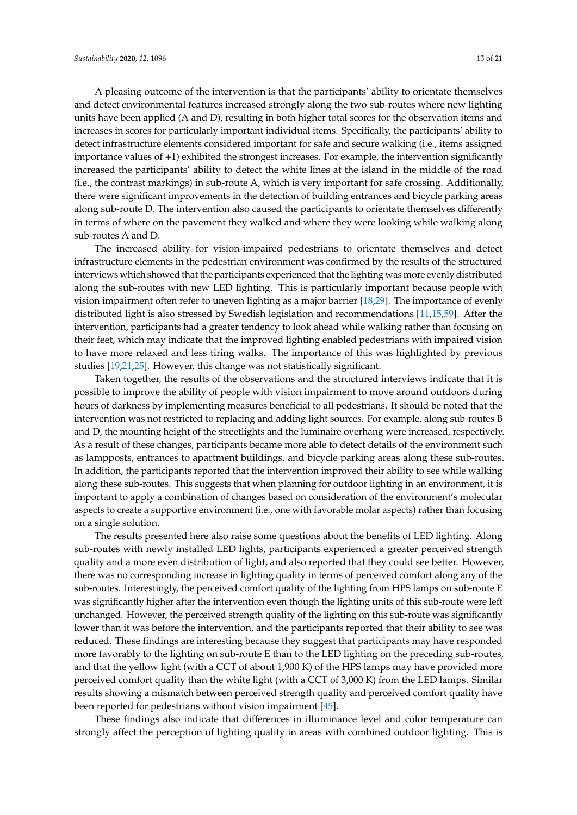A pleasing outcome of the intervention is that the participants' ability to orientate themselves and detect environmental features increased strongly along the two sub-routes where new lighting units have been applied (A and D), resulting in both higher total scores for the observation items and increases in scores for particularly important individual items. Specifically, the participants' ability to detect infrastructure elements considered important for safe and secure walking (i.e., items assigned importance values of +1) exhibited the strongest increases. For example, the intervention significantly increased the participants' ability to detect the white lines at the island in the middle of the road (i.e., the contrast markings) in sub-route A, which is very important for safe crossing. Additionally, there were significant improvements in the detection of building entrances and bicycle parking areas along sub-route D. The intervention also caused the participants to orientate themselves differently in terms of where on the pavement they walked and where they were looking while walking along sub-routes A and D.

The increased ability for vision-impaired pedestrians to orientate themselves and detect infrastructure elements in the pedestrian environment was confirmed by the results of the structured interviews which showed that the participants experienced that the lighting was more evenly distributed along the sub-routes with new LED lighting. This is particularly important because people with vision impairment often refer to uneven lighting as a major barrier [\[18](#page-18-1)[,29\]](#page-18-17). The importance of evenly distributed light is also stressed by Swedish legislation and recommendations [\[11,](#page-17-9)[15,](#page-17-13)[59\]](#page-19-20). After the intervention, participants had a greater tendency to look ahead while walking rather than focusing on their feet, which may indicate that the improved lighting enabled pedestrians with impaired vision to have more relaxed and less tiring walks. The importance of this was highlighted by previous studies [\[19](#page-18-18)[,21,](#page-18-19)[25\]](#page-18-5). However, this change was not statistically significant.

Taken together, the results of the observations and the structured interviews indicate that it is possible to improve the ability of people with vision impairment to move around outdoors during hours of darkness by implementing measures beneficial to all pedestrians. It should be noted that the intervention was not restricted to replacing and adding light sources. For example, along sub-routes B and D, the mounting height of the streetlights and the luminaire overhang were increased, respectively. As a result of these changes, participants became more able to detect details of the environment such as lampposts, entrances to apartment buildings, and bicycle parking areas along these sub-routes. In addition, the participants reported that the intervention improved their ability to see while walking along these sub-routes. This suggests that when planning for outdoor lighting in an environment, it is important to apply a combination of changes based on consideration of the environment's molecular aspects to create a supportive environment (i.e., one with favorable molar aspects) rather than focusing on a single solution.

The results presented here also raise some questions about the benefits of LED lighting. Along sub-routes with newly installed LED lights, participants experienced a greater perceived strength quality and a more even distribution of light, and also reported that they could see better. However, there was no corresponding increase in lighting quality in terms of perceived comfort along any of the sub-routes. Interestingly, the perceived comfort quality of the lighting from HPS lamps on sub-route E was significantly higher after the intervention even though the lighting units of this sub-route were left unchanged. However, the perceived strength quality of the lighting on this sub-route was significantly lower than it was before the intervention, and the participants reported that their ability to see was reduced. These findings are interesting because they suggest that participants may have responded more favorably to the lighting on sub-route E than to the LED lighting on the preceding sub-routes, and that the yellow light (with a CCT of about 1,900 K) of the HPS lamps may have provided more perceived comfort quality than the white light (with a CCT of 3,000 K) from the LED lamps. Similar results showing a mismatch between perceived strength quality and perceived comfort quality have been reported for pedestrians without vision impairment [\[45\]](#page-19-6).

These findings also indicate that differences in illuminance level and color temperature can strongly affect the perception of lighting quality in areas with combined outdoor lighting. This is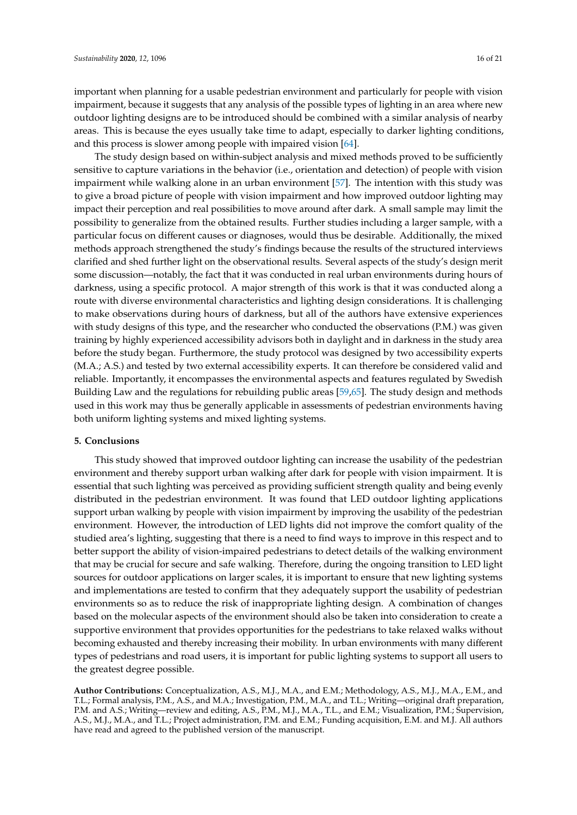important when planning for a usable pedestrian environment and particularly for people with vision impairment, because it suggests that any analysis of the possible types of lighting in an area where new outdoor lighting designs are to be introduced should be combined with a similar analysis of nearby areas. This is because the eyes usually take time to adapt, especially to darker lighting conditions, and this process is slower among people with impaired vision [\[64\]](#page-20-0).

The study design based on within-subject analysis and mixed methods proved to be sufficiently sensitive to capture variations in the behavior (i.e., orientation and detection) of people with vision impairment while walking alone in an urban environment [\[57\]](#page-19-18). The intention with this study was to give a broad picture of people with vision impairment and how improved outdoor lighting may impact their perception and real possibilities to move around after dark. A small sample may limit the possibility to generalize from the obtained results. Further studies including a larger sample, with a particular focus on different causes or diagnoses, would thus be desirable. Additionally, the mixed methods approach strengthened the study's findings because the results of the structured interviews clarified and shed further light on the observational results. Several aspects of the study's design merit some discussion—notably, the fact that it was conducted in real urban environments during hours of darkness, using a specific protocol. A major strength of this work is that it was conducted along a route with diverse environmental characteristics and lighting design considerations. It is challenging to make observations during hours of darkness, but all of the authors have extensive experiences with study designs of this type, and the researcher who conducted the observations (P.M.) was given training by highly experienced accessibility advisors both in daylight and in darkness in the study area before the study began. Furthermore, the study protocol was designed by two accessibility experts (M.A.; A.S.) and tested by two external accessibility experts. It can therefore be considered valid and reliable. Importantly, it encompasses the environmental aspects and features regulated by Swedish Building Law and the regulations for rebuilding public areas [\[59,](#page-19-20)[65\]](#page-20-1). The study design and methods used in this work may thus be generally applicable in assessments of pedestrian environments having both uniform lighting systems and mixed lighting systems.

#### **5. Conclusions**

This study showed that improved outdoor lighting can increase the usability of the pedestrian environment and thereby support urban walking after dark for people with vision impairment. It is essential that such lighting was perceived as providing sufficient strength quality and being evenly distributed in the pedestrian environment. It was found that LED outdoor lighting applications support urban walking by people with vision impairment by improving the usability of the pedestrian environment. However, the introduction of LED lights did not improve the comfort quality of the studied area's lighting, suggesting that there is a need to find ways to improve in this respect and to better support the ability of vision-impaired pedestrians to detect details of the walking environment that may be crucial for secure and safe walking. Therefore, during the ongoing transition to LED light sources for outdoor applications on larger scales, it is important to ensure that new lighting systems and implementations are tested to confirm that they adequately support the usability of pedestrian environments so as to reduce the risk of inappropriate lighting design. A combination of changes based on the molecular aspects of the environment should also be taken into consideration to create a supportive environment that provides opportunities for the pedestrians to take relaxed walks without becoming exhausted and thereby increasing their mobility. In urban environments with many different types of pedestrians and road users, it is important for public lighting systems to support all users to the greatest degree possible.

**Author Contributions:** Conceptualization, A.S., M.J., M.A., and E.M.; Methodology, A.S., M.J., M.A., E.M., and T.L.; Formal analysis, P.M., A.S., and M.A.; Investigation, P.M., M.A., and T.L.; Writing—original draft preparation, P.M. and A.S.; Writing—review and editing, A.S., P.M., M.J., M.A., T.L., and E.M.; Visualization, P.M.; Supervision, A.S., M.J., M.A., and T.L.; Project administration, P.M. and E.M.; Funding acquisition, E.M. and M.J. All authors have read and agreed to the published version of the manuscript.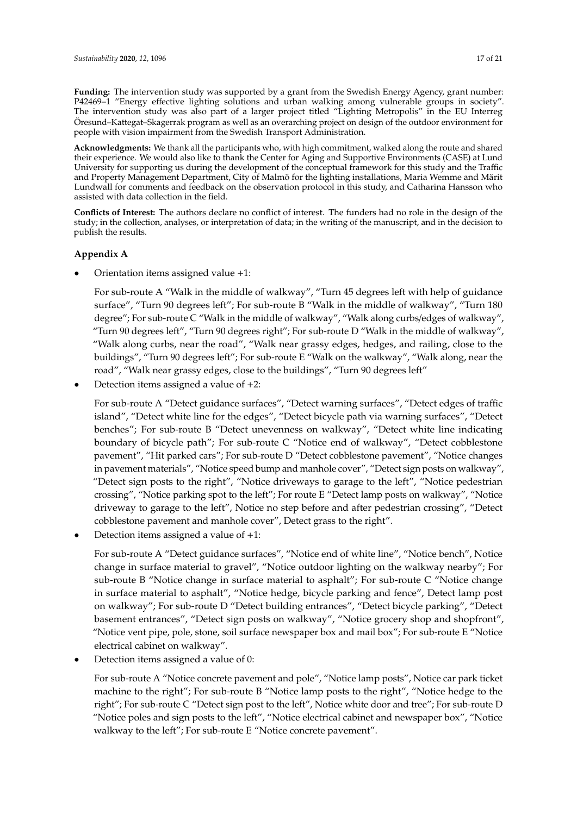**Funding:** The intervention study was supported by a grant from the Swedish Energy Agency, grant number: P42469–1 "Energy effective lighting solutions and urban walking among vulnerable groups in society". The intervention study was also part of a larger project titled "Lighting Metropolis" in the EU Interreg Öresund–Kattegat–Skagerrak program as well as an overarching project on design of the outdoor environment for people with vision impairment from the Swedish Transport Administration.

**Acknowledgments:** We thank all the participants who, with high commitment, walked along the route and shared their experience. We would also like to thank the Center for Aging and Supportive Environments (CASE) at Lund University for supporting us during the development of the conceptual framework for this study and the Traffic and Property Management Department, City of Malmö for the lighting installations, Maria Wemme and Märit Lundwall for comments and feedback on the observation protocol in this study, and Catharina Hansson who assisted with data collection in the field.

**Conflicts of Interest:** The authors declare no conflict of interest. The funders had no role in the design of the study; in the collection, analyses, or interpretation of data; in the writing of the manuscript, and in the decision to publish the results.

# <span id="page-16-0"></span>**Appendix A**

• Orientation items assigned value +1:

For sub-route A "Walk in the middle of walkway", "Turn 45 degrees left with help of guidance surface", "Turn 90 degrees left"; For sub-route B "Walk in the middle of walkway", "Turn 180 degree"; For sub-route C "Walk in the middle of walkway", "Walk along curbs/edges of walkway", "Turn 90 degrees left", "Turn 90 degrees right"; For sub-route D "Walk in the middle of walkway", "Walk along curbs, near the road", "Walk near grassy edges, hedges, and railing, close to the buildings", "Turn 90 degrees left"; For sub-route E "Walk on the walkway", "Walk along, near the road", "Walk near grassy edges, close to the buildings", "Turn 90 degrees left"

Detection items assigned a value of  $+2$ :

For sub-route A "Detect guidance surfaces", "Detect warning surfaces", "Detect edges of traffic island", "Detect white line for the edges", "Detect bicycle path via warning surfaces", "Detect benches"; For sub-route B "Detect unevenness on walkway", "Detect white line indicating boundary of bicycle path"; For sub-route C "Notice end of walkway", "Detect cobblestone pavement", "Hit parked cars"; For sub-route D "Detect cobblestone pavement", "Notice changes in pavement materials", "Notice speed bump and manhole cover", "Detect sign posts on walkway", "Detect sign posts to the right", "Notice driveways to garage to the left", "Notice pedestrian crossing", "Notice parking spot to the left"; For route E "Detect lamp posts on walkway", "Notice driveway to garage to the left", Notice no step before and after pedestrian crossing", "Detect cobblestone pavement and manhole cover", Detect grass to the right".

Detection items assigned a value of  $+1$ :

For sub-route A "Detect guidance surfaces", "Notice end of white line", "Notice bench", Notice change in surface material to gravel", "Notice outdoor lighting on the walkway nearby"; For sub-route B "Notice change in surface material to asphalt"; For sub-route C "Notice change in surface material to asphalt", "Notice hedge, bicycle parking and fence", Detect lamp post on walkway"; For sub-route D "Detect building entrances", "Detect bicycle parking", "Detect basement entrances", "Detect sign posts on walkway", "Notice grocery shop and shopfront", "Notice vent pipe, pole, stone, soil surface newspaper box and mail box"; For sub-route E "Notice electrical cabinet on walkway".

• Detection items assigned a value of 0:

For sub-route A "Notice concrete pavement and pole", "Notice lamp posts", Notice car park ticket machine to the right"; For sub-route B "Notice lamp posts to the right", "Notice hedge to the right"; For sub-route C "Detect sign post to the left", Notice white door and tree"; For sub-route D "Notice poles and sign posts to the left", "Notice electrical cabinet and newspaper box", "Notice walkway to the left"; For sub-route E "Notice concrete pavement".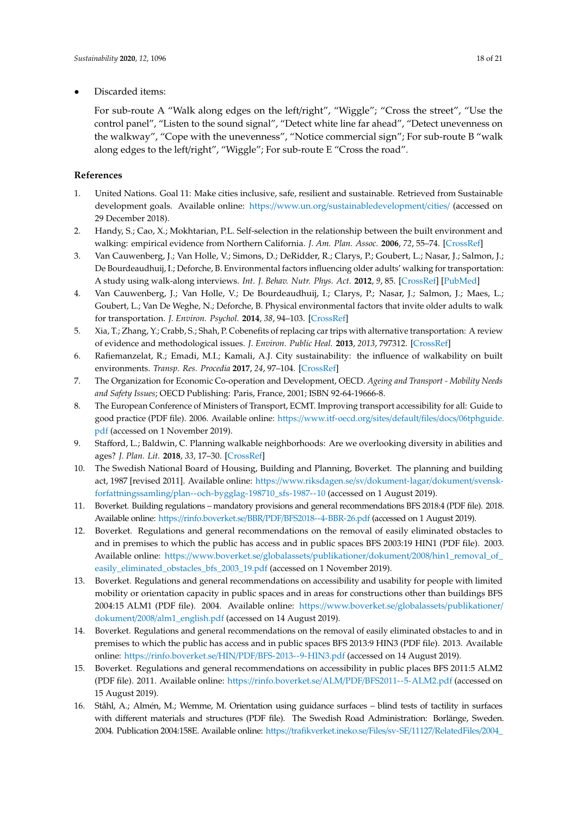Discarded items:

For sub-route A "Walk along edges on the left/right", "Wiggle"; "Cross the street", "Use the control panel", "Listen to the sound signal", "Detect white line far ahead", "Detect unevenness on the walkway", "Cope with the unevenness", "Notice commercial sign"; For sub-route B "walk along edges to the left/right", "Wiggle"; For sub-route E "Cross the road".

## **References**

- <span id="page-17-0"></span>1. United Nations. Goal 11: Make cities inclusive, safe, resilient and sustainable. Retrieved from Sustainable development goals. Available online: https://www.un.org/[sustainabledevelopment](https://www.un.org/sustainabledevelopment/cities/)/cities/ (accessed on 29 December 2018).
- <span id="page-17-1"></span>2. Handy, S.; Cao, X.; Mokhtarian, P.L. Self-selection in the relationship between the built environment and walking: empirical evidence from Northern California. *J. Am. Plan. Assoc.* **2006**, *72*, 55–74. [\[CrossRef\]](http://dx.doi.org/10.1080/01944360608976724)
- <span id="page-17-15"></span>3. Van Cauwenberg, J.; Van Holle, V.; Simons, D.; DeRidder, R.; Clarys, P.; Goubert, L.; Nasar, J.; Salmon, J.; De Bourdeaudhuij, I.; Deforche, B. Environmental factors influencing older adults' walking for transportation: A study using walk-along interviews. *Int. J. Behav. Nutr. Phys. Act.* **2012**, *9*, 85. [\[CrossRef\]](http://dx.doi.org/10.1186/1479-5868-9-85) [\[PubMed\]](http://www.ncbi.nlm.nih.gov/pubmed/22780948)
- <span id="page-17-2"></span>4. Van Cauwenberg, J.; Van Holle, V.; De Bourdeaudhuij, I.; Clarys, P.; Nasar, J.; Salmon, J.; Maes, L.; Goubert, L.; Van De Weghe, N.; Deforche, B. Physical environmental factors that invite older adults to walk for transportation. *J. Environ. Psychol.* **2014**, *38*, 94–103. [\[CrossRef\]](http://dx.doi.org/10.1016/j.jenvp.2013.12.012)
- <span id="page-17-3"></span>5. Xia, T.; Zhang, Y.; Crabb, S.; Shah, P. Cobenefits of replacing car trips with alternative transportation: A review of evidence and methodological issues. *J. Environ. Public Heal.* **2013**, *2013*, 797312. [\[CrossRef\]](http://dx.doi.org/10.1155/2013/797312 )
- <span id="page-17-4"></span>6. Rafiemanzelat, R.; Emadi, M.I.; Kamali, A.J. City sustainability: the influence of walkability on built environments. *Transp. Res. Procedia* **2017**, *24*, 97–104. [\[CrossRef\]](http://dx.doi.org/10.1016/j.trpro.2017.05.074)
- <span id="page-17-5"></span>7. The Organization for Economic Co-operation and Development, OECD. *Ageing and Transport - Mobility Needs and Safety Issues*; OECD Publishing: Paris, France, 2001; ISBN 92-64-19666-8.
- <span id="page-17-6"></span>8. The European Conference of Ministers of Transport, ECMT. Improving transport accessibility for all: Guide to good practice (PDF file). 2006. Available online: https://[www.itf-oecd.org](https://www.itf-oecd.org/sites/default/files/docs/06tphguide.pdf)/sites/default/files/docs/06tphguide. [pdf](https://www.itf-oecd.org/sites/default/files/docs/06tphguide.pdf) (accessed on 1 November 2019).
- <span id="page-17-7"></span>9. Stafford, L.; Baldwin, C. Planning walkable neighborhoods: Are we overlooking diversity in abilities and ages? *J. Plan. Lit.* **2018**, *33*, 17–30. [\[CrossRef\]](http://dx.doi.org/10.1177/0885412217704649 )
- <span id="page-17-8"></span>10. The Swedish National Board of Housing, Building and Planning, Boverket. The planning and building act, 1987 [revised 2011]. Available online: https://[www.riksdagen.se](https://www.riksdagen.se/sv/dokument-lagar/dokument/svensk-forfattningssamling/plan--och-bygglag-198710_sfs-1987--10)/sv/dokument-lagar/dokument/svenskforfattningssamling/[plan--och-bygglag-198710\\_sfs-1987--10](https://www.riksdagen.se/sv/dokument-lagar/dokument/svensk-forfattningssamling/plan--och-bygglag-198710_sfs-1987--10) (accessed on 1 August 2019).
- <span id="page-17-9"></span>11. Boverket. Building regulations – mandatory provisions and general recommendations BFS 2018:4 (PDF file). 2018. Available online: https://rinfo.boverket.se/BBR/PDF/[BFS2018--4-BBR-26.pdf](https://rinfo.boverket.se/BBR/PDF/BFS2018--4-BBR-26.pdf) (accessed on 1 August 2019).
- <span id="page-17-10"></span>12. Boverket. Regulations and general recommendations on the removal of easily eliminated obstacles to and in premises to which the public has access and in public spaces BFS 2003:19 HIN1 (PDF file). 2003. Available online: https://www.boverket.se/globalassets/publikationer/dokument/2008/[hin1\\_removal\\_of\\_](https://www.boverket.se/globalassets/publikationer/dokument/2008/hin1_removal_of_easily_eliminated_obstacles_bfs_2003_19.pdf) [easily\\_eliminated\\_obstacles\\_bfs\\_2003\\_19.pdf](https://www.boverket.se/globalassets/publikationer/dokument/2008/hin1_removal_of_easily_eliminated_obstacles_bfs_2003_19.pdf) (accessed on 1 November 2019).
- <span id="page-17-11"></span>13. Boverket. Regulations and general recommendations on accessibility and usability for people with limited mobility or orientation capacity in public spaces and in areas for constructions other than buildings BFS 2004:15 ALM1 (PDF file). 2004. Available online: https://[www.boverket.se](https://www.boverket.se/globalassets/publikationer/dokument/2008/alm1_english.pdf)/globalassets/publikationer/ dokument/2008/[alm1\\_english.pdf](https://www.boverket.se/globalassets/publikationer/dokument/2008/alm1_english.pdf) (accessed on 14 August 2019).
- <span id="page-17-12"></span>14. Boverket. Regulations and general recommendations on the removal of easily eliminated obstacles to and in premises to which the public has access and in public spaces BFS 2013:9 HIN3 (PDF file). 2013. Available online: https://rinfo.boverket.se/HIN/PDF/[BFS-2013--9-HIN3.pdf](https://rinfo.boverket.se/HIN/PDF/BFS-2013--9-HIN3.pdf) (accessed on 14 August 2019).
- <span id="page-17-13"></span>15. Boverket. Regulations and general recommendations on accessibility in public places BFS 2011:5 ALM2 (PDF file). 2011. Available online: https://rinfo.boverket.se/ALM/PDF/[BFS2011--5-ALM2.pdf](https://rinfo.boverket.se/ALM/PDF/BFS2011--5-ALM2.pdf) (accessed on 15 August 2019).
- <span id="page-17-14"></span>16. Ståhl, A.; Almén, M.; Wemme, M. Orientation using guidance surfaces – blind tests of tactility in surfaces with different materials and structures (PDF file). The Swedish Road Administration: Borlänge, Sweden. 2004. Publication 2004:158E. Available online: https://[trafikverket.ineko.se](https://trafikverket.ineko.se/Files/sv-SE/11127/RelatedFiles/2004_158E_orientation_using_guidance_surfaces_blind_tests_of_tactility_in_surface_with_different_materials_and_structures.pdf)/Files/sv-SE/11127/RelatedFiles/2004\_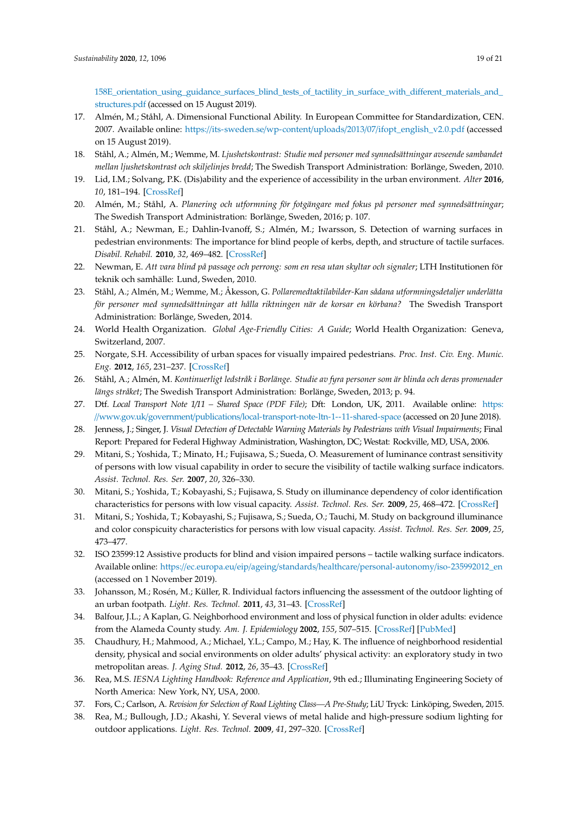[158E\\_orientation\\_using\\_guidance\\_surfaces\\_blind\\_tests\\_of\\_tactility\\_in\\_surface\\_with\\_different\\_materials\\_and\\_](https://trafikverket.ineko.se/Files/sv-SE/11127/RelatedFiles/2004_158E_orientation_using_guidance_surfaces_blind_tests_of_tactility_in_surface_with_different_materials_and_structures.pdf) [structures.pdf](https://trafikverket.ineko.se/Files/sv-SE/11127/RelatedFiles/2004_158E_orientation_using_guidance_surfaces_blind_tests_of_tactility_in_surface_with_different_materials_and_structures.pdf) (accessed on 15 August 2019).

- <span id="page-18-0"></span>17. Almén, M.; Ståhl, A. Dimensional Functional Ability. In European Committee for Standardization, CEN. 2007. Available online: https://its-sweden.se/wp-content/uploads/2013/07/[ifopt\\_english\\_v2.0.pdf](https://its-sweden.se/wp-content/uploads/2013/07/ifopt_english_v2.0.pdf) (accessed on 15 August 2019).
- <span id="page-18-1"></span>18. Ståhl, A.; Almén, M.; Wemme, M. *Ljushetskontrast: Studie med personer med synnedsättningar avseende sambandet mellan ljushetskontrast och skiljelinjes bredd*; The Swedish Transport Administration: Borlänge, Sweden, 2010.
- <span id="page-18-18"></span>19. Lid, I.M.; Solvang, P.K. (Dis)ability and the experience of accessibility in the urban environment. *Alter* **2016**, *10*, 181–194. [\[CrossRef\]](http://dx.doi.org/10.1016/j.alter.2015.11.003)
- <span id="page-18-2"></span>20. Almén, M.; Ståhl, A. *Planering och utformning för fotgängare med fokus på personer med synnedsättningar*; The Swedish Transport Administration: Borlänge, Sweden, 2016; p. 107.
- <span id="page-18-19"></span>21. Ståhl, A.; Newman, E.; Dahlin-Ivanoff, S.; Almén, M.; Iwarsson, S. Detection of warning surfaces in pedestrian environments: The importance for blind people of kerbs, depth, and structure of tactile surfaces. *Disabil. Rehabil.* **2010**, *32*, 469–482. [\[CrossRef\]](http://dx.doi.org/10.3109/09638280903171543)
- 22. Newman, E. *Att vara blind på passage och perrong: som en resa utan skyltar och signaler*; LTH Institutionen för teknik och samhälle: Lund, Sweden, 2010.
- <span id="page-18-3"></span>23. Ståhl, A.; Almén, M.; Wemme, M.; Åkesson, G. *Pollaremedtaktilabilder-Kan sådana utformningsdetaljer underlätta för personer med synnedsättningar att hålla riktningen när de korsar en körbana?* The Swedish Transport Administration: Borlänge, Sweden, 2014.
- <span id="page-18-4"></span>24. World Health Organization. *Global Age-Friendly Cities: A Guide*; World Health Organization: Geneva, Switzerland, 2007.
- <span id="page-18-5"></span>25. Norgate, S.H. Accessibility of urban spaces for visually impaired pedestrians. *Proc. Inst. Civ. Eng. Munic. Eng.* **2012**, *165*, 231–237. [\[CrossRef\]](http://dx.doi.org/10.1680/muen.12.00019)
- <span id="page-18-6"></span>26. Ståhl, A.; Almén, M. *Kontinuerligt ledstråk i Borlänge. Studie av fyra personer som är blinda och deras promenader längs stråket*; The Swedish Transport Administration: Borlänge, Sweden, 2013; p. 94.
- <span id="page-18-7"></span>27. Dtf. *Local Transport Note 1*/*11 – Shared Space (PDF File)*; Dft: London, UK, 2011. Available online: [https:](https://www.gov.uk/government/publications/local-transport-note-ltn-1--11-shared-space) //www.gov.uk/government/publications/[local-transport-note-ltn-1--11-shared-space](https://www.gov.uk/government/publications/local-transport-note-ltn-1--11-shared-space) (accessed on 20 June 2018).
- <span id="page-18-8"></span>28. Jenness, J.; Singer, J. *Visual Detection of Detectable Warning Materials by Pedestrians with Visual Impairments*; Final Report: Prepared for Federal Highway Administration, Washington, DC; Westat: Rockville, MD, USA, 2006.
- <span id="page-18-17"></span>29. Mitani, S.; Yoshida, T.; Minato, H.; Fujisawa, S.; Sueda, O. Measurement of luminance contrast sensitivity of persons with low visual capability in order to secure the visibility of tactile walking surface indicators. *Assist. Technol. Res. Ser.* **2007**, *20*, 326–330.
- 30. Mitani, S.; Yoshida, T.; Kobayashi, S.; Fujisawa, S. Study on illuminance dependency of color identification characteristics for persons with low visual capacity. *Assist. Technol. Res. Ser.* **2009**, *25*, 468–472. [\[CrossRef\]](http://dx.doi.org/10.3233/978\T1\textendash 1\T1\textendash 60750\T1\textendash 042\T1\textendash 1\T1\textendash 468)
- <span id="page-18-9"></span>31. Mitani, S.; Yoshida, T.; Kobayashi, S.; Fujisawa, S.; Sueda, O.; Tauchi, M. Study on background illuminance and color conspicuity characteristics for persons with low visual capacity. *Assist. Technol. Res. Ser.* **2009**, *25*, 473–477.
- <span id="page-18-10"></span>32. ISO 23599:12 Assistive products for blind and vision impaired persons – tactile walking surface indicators. Available online: https://ec.europa.eu/eip/ageing/standards/healthcare/[personal-autonomy](https://ec.europa.eu/eip/ageing/standards/healthcare/personal-autonomy/iso-235992012_en)/iso-235992012\_en (accessed on 1 November 2019).
- <span id="page-18-11"></span>33. Johansson, M.; Rosén, M.; Küller, R. Individual factors influencing the assessment of the outdoor lighting of an urban footpath. *Light. Res. Technol.* **2011**, *43*, 31–43. [\[CrossRef\]](http://dx.doi.org/10.1177/1477153510370757)
- <span id="page-18-12"></span>34. Balfour, J.L.; A Kaplan, G. Neighborhood environment and loss of physical function in older adults: evidence from the Alameda County study. *Am. J. Epidemiology* **2002**, *155*, 507–515. [\[CrossRef\]](http://dx.doi.org/10.1093/aje/155.6.507) [\[PubMed\]](http://www.ncbi.nlm.nih.gov/pubmed/11882524)
- <span id="page-18-13"></span>35. Chaudhury, H.; Mahmood, A.; Michael, Y.L.; Campo, M.; Hay, K. The influence of neighborhood residential density, physical and social environments on older adults' physical activity: an exploratory study in two metropolitan areas. *J. Aging Stud.* **2012**, *26*, 35–43. [\[CrossRef\]](http://dx.doi.org/10.1016/j.jaging.2011.07.001)
- <span id="page-18-14"></span>36. Rea, M.S. *IESNA Lighting Handbook: Reference and Application*, 9th ed.; Illuminating Engineering Society of North America: New York, NY, USA, 2000.
- <span id="page-18-15"></span>37. Fors, C.; Carlson, A. *Revision for Selection of Road Lighting Class—A Pre-Study*; LiU Tryck: Linköping, Sweden, 2015.
- <span id="page-18-16"></span>38. Rea, M.; Bullough, J.D.; Akashi, Y. Several views of metal halide and high-pressure sodium lighting for outdoor applications. *Light. Res. Technol.* **2009**, *41*, 297–320. [\[CrossRef\]](http://dx.doi.org/10.1177/1477153509102342)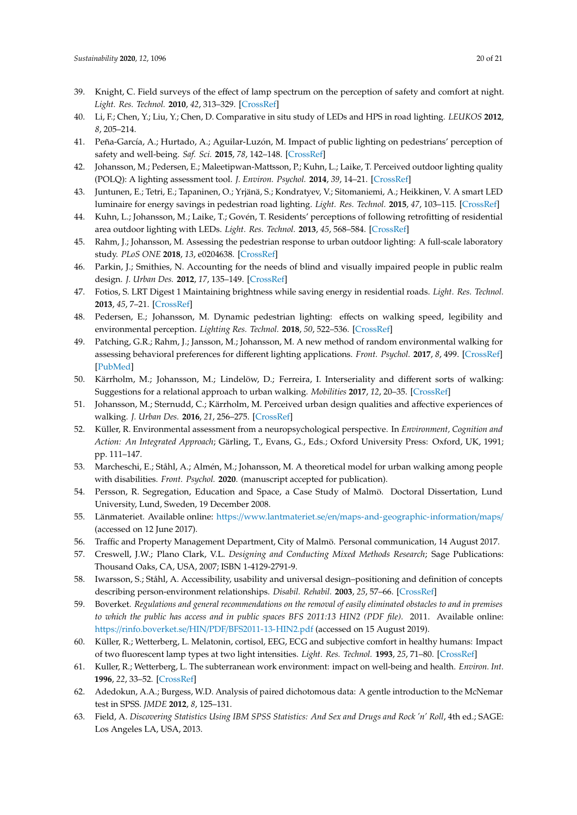- <span id="page-19-0"></span>39. Knight, C. Field surveys of the effect of lamp spectrum on the perception of safety and comfort at night. *Light. Res. Technol.* **2010**, *42*, 313–329. [\[CrossRef\]](http://dx.doi.org/10.1177/1477153510376794)
- <span id="page-19-1"></span>40. Li, F.; Chen, Y.; Liu, Y.; Chen, D. Comparative in situ study of LEDs and HPS in road lighting. *LEUKOS* **2012**, *8*, 205–214.
- <span id="page-19-2"></span>41. Peña-García, A.; Hurtado, A.; Aguilar-Luzón, M. Impact of public lighting on pedestrians' perception of safety and well-being. *Saf. Sci.* **2015**, *78*, 142–148. [\[CrossRef\]](http://dx.doi.org/10.1016/j.ssci.2015.04.009)
- <span id="page-19-3"></span>42. Johansson, M.; Pedersen, E.; Maleetipwan-Mattsson, P.; Kuhn, L.; Laike, T. Perceived outdoor lighting quality (POLQ): A lighting assessment tool. *J. Environ. Psychol.* **2014**, *39*, 14–21. [\[CrossRef\]](http://dx.doi.org/10.1016/j.jenvp.2013.12.002)
- <span id="page-19-4"></span>43. Juntunen, E.; Tetri, E.; Tapaninen, O.; Yrjänä, S.; Kondratyev, V.; Sitomaniemi, A.; Heikkinen, V. A smart LED luminaire for energy savings in pedestrian road lighting. *Light. Res. Technol.* **2015**, *47*, 103–115. [\[CrossRef\]](http://dx.doi.org/10.1177/1477153513510015)
- <span id="page-19-5"></span>44. Kuhn, L.; Johansson, M.; Laike, T.; Govén, T. Residents' perceptions of following retrofitting of residential area outdoor lighting with LEDs. *Light. Res. Technol.* **2013**, *45*, 568–584. [\[CrossRef\]](http://dx.doi.org/10.1177/1477153512464968)
- <span id="page-19-6"></span>45. Rahm, J.; Johansson, M. Assessing the pedestrian response to urban outdoor lighting: A full-scale laboratory study. *PLoS ONE* **2018**, *13*, e0204638. [\[CrossRef\]](http://dx.doi.org/10.1371/journal.pone.0204638)
- <span id="page-19-7"></span>46. Parkin, J.; Smithies, N. Accounting for the needs of blind and visually impaired people in public realm design. *J. Urban Des.* **2012**, *17*, 135–149. [\[CrossRef\]](http://dx.doi.org/10.1080/13574809.2012.646139)
- <span id="page-19-8"></span>47. Fotios, S. LRT Digest 1 Maintaining brightness while saving energy in residential roads. *Light. Res. Technol.* **2013**, *45*, 7–21. [\[CrossRef\]](http://dx.doi.org/10.1177/1477153512464141)
- <span id="page-19-9"></span>48. Pedersen, E.; Johansson, M. Dynamic pedestrian lighting: effects on walking speed, legibility and environmental perception. *Lighting Res. Technol.* **2018**, *50*, 522–536. [\[CrossRef\]](http://dx.doi.org/10.1177/1477153516684544)
- <span id="page-19-10"></span>49. Patching, G.R.; Rahm, J.; Jansson, M.; Johansson, M. A new method of random environmental walking for assessing behavioral preferences for different lighting applications. *Front. Psychol.* **2017**, *8*, 499. [\[CrossRef\]](http://dx.doi.org/10.3389/fpsyg.2017.00345) [\[PubMed\]](http://www.ncbi.nlm.nih.gov/pubmed/28337163)
- <span id="page-19-11"></span>50. Kärrholm, M.; Johansson, M.; Lindelöw, D.; Ferreira, I. Interseriality and different sorts of walking: Suggestions for a relational approach to urban walking. *Mobilities* **2017**, *12*, 20–35. [\[CrossRef\]](http://dx.doi.org/10.1080/17450101.2014.969596)
- <span id="page-19-12"></span>51. Johansson, M.; Sternudd, C.; Kärrholm, M. Perceived urban design qualities and affective experiences of walking. *J. Urban Des.* **2016**, *21*, 256–275. [\[CrossRef\]](http://dx.doi.org/10.1080/13574809.2015.1133225)
- <span id="page-19-13"></span>52. Küller, R. Environmental assessment from a neuropsychological perspective. In *Environment, Cognition and Action: An Integrated Approach*; Gärling, T., Evans, G., Eds.; Oxford University Press: Oxford, UK, 1991; pp. 111–147.
- <span id="page-19-14"></span>53. Marcheschi, E.; Ståhl, A.; Almén, M.; Johansson, M. A theoretical model for urban walking among people with disabilities. *Front. Psychol.* **2020**. (manuscript accepted for publication).
- <span id="page-19-15"></span>54. Persson, R. Segregation, Education and Space, a Case Study of Malmö. Doctoral Dissertation, Lund University, Lund, Sweden, 19 December 2008.
- <span id="page-19-16"></span>55. Länmateriet. Available online: https://www.lantmateriet.se/en/[maps-and-geographic-information](https://www.lantmateriet.se/en/maps-and-geographic-information/maps/)/maps/ (accessed on 12 June 2017).
- <span id="page-19-17"></span>56. Traffic and Property Management Department, City of Malmö. Personal communication, 14 August 2017.
- <span id="page-19-18"></span>57. Creswell, J.W.; Plano Clark, V.L. *Designing and Conducting Mixed Methods Research*; Sage Publications: Thousand Oaks, CA, USA, 2007; ISBN 1-4129-2791-9.
- <span id="page-19-19"></span>58. Iwarsson, S.; Ståhl, A. Accessibility, usability and universal design–positioning and definition of concepts describing person-environment relationships. *Disabil. Rehabil.* **2003**, *25*, 57–66. [\[CrossRef\]](http://dx.doi.org/10.1080/dre.25.2.57.66)
- <span id="page-19-20"></span>59. Boverket. *Regulations and general recommendations on the removal of easily eliminated obstacles to and in premises to which the public has access and in public spaces BFS 2011:13 HIN2 (PDF file)*. 2011. Available online: https://rinfo.boverket.se/HIN/PDF/[BFS2011-13-HIN2.pdf](https://rinfo.boverket.se/HIN/PDF/BFS2011-13-HIN2.pdf) (accessed on 15 August 2019).
- <span id="page-19-21"></span>60. Küller, R.; Wetterberg, L. Melatonin, cortisol, EEG, ECG and subjective comfort in healthy humans: Impact of two fluorescent lamp types at two light intensities. *Light. Res. Technol.* **1993**, *25*, 71–80. [\[CrossRef\]](http://dx.doi.org/10.1177/096032719302500203)
- <span id="page-19-22"></span>61. Kuller, R.; Wetterberg, L. The subterranean work environment: impact on well-being and health. *Environ. Int.* **1996**, *22*, 33–52. [\[CrossRef\]](http://dx.doi.org/10.1016/0160-4120(95)00101-8)
- <span id="page-19-23"></span>62. Adedokun, A.A.; Burgess, W.D. Analysis of paired dichotomous data: A gentle introduction to the McNemar test in SPSS. *JMDE* **2012**, *8*, 125–131.
- <span id="page-19-24"></span>63. Field, A. Discovering Statistics Using IBM SPSS Statistics: And Sex and Drugs and Rock 'n' Roll, 4th ed.; SAGE: Los Angeles LA, USA, 2013.